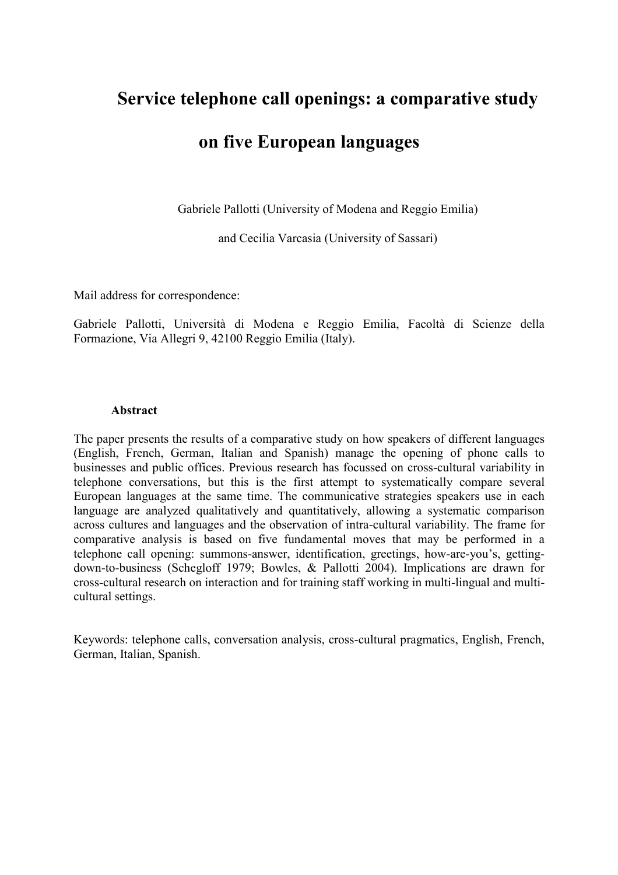# Service telephone call openings: a comparative study

# on five European languages

Gabriele Pallotti (University of Modena and Reggio Emilia)

and Cecilia Varcasia (University of Sassari)

Mail address for correspondence:

Gabriele Pallotti, Università di Modena e Reggio Emilia, Facoltà di Scienze della Formazione, Via Allegri 9, 42100 Reggio Emilia (Italy).

#### Abstract

The paper presents the results of a comparative study on how speakers of different languages (English, French, German, Italian and Spanish) manage the opening of phone calls to businesses and public offices. Previous research has focussed on cross-cultural variability in telephone conversations, but this is the first attempt to systematically compare several European languages at the same time. The communicative strategies speakers use in each language are analyzed qualitatively and quantitatively, allowing a systematic comparison across cultures and languages and the observation of intra-cultural variability. The frame for comparative analysis is based on five fundamental moves that may be performed in a telephone call opening: summons-answer, identification, greetings, how-are-you's, gettingdown-to-business (Schegloff 1979; Bowles, & Pallotti 2004). Implications are drawn for cross-cultural research on interaction and for training staff working in multi-lingual and multicultural settings.

Keywords: telephone calls, conversation analysis, cross-cultural pragmatics, English, French, German, Italian, Spanish.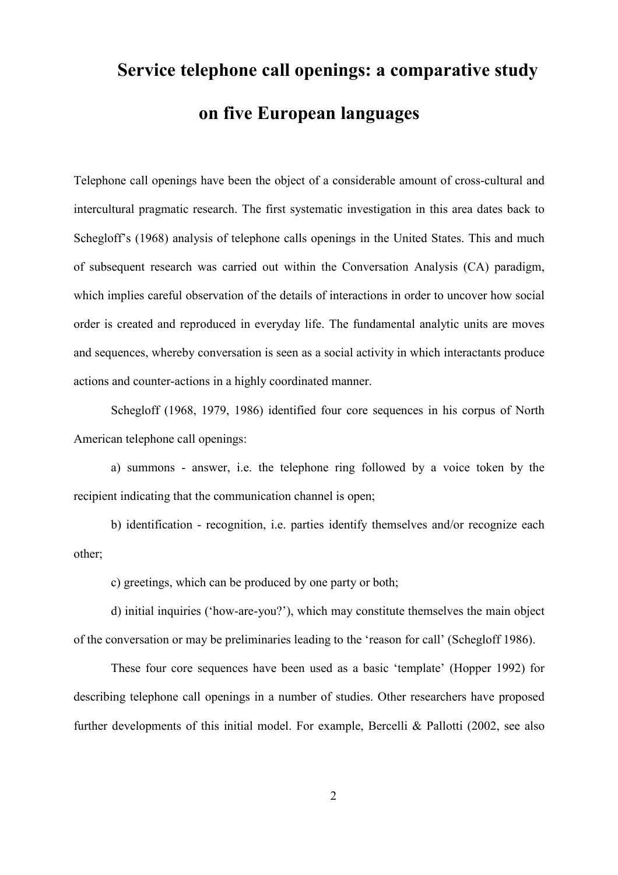# Service telephone call openings: a comparative study on five European languages

Telephone call openings have been the object of a considerable amount of cross-cultural and intercultural pragmatic research. The first systematic investigation in this area dates back to Schegloff's (1968) analysis of telephone calls openings in the United States. This and much of subsequent research was carried out within the Conversation Analysis (CA) paradigm, which implies careful observation of the details of interactions in order to uncover how social order is created and reproduced in everyday life. The fundamental analytic units are moves and sequences, whereby conversation is seen as a social activity in which interactants produce actions and counter-actions in a highly coordinated manner.

Schegloff (1968, 1979, 1986) identified four core sequences in his corpus of North American telephone call openings:

a) summons - answer, i.e. the telephone ring followed by a voice token by the recipient indicating that the communication channel is open;

b) identification - recognition, i.e. parties identify themselves and/or recognize each other;

c) greetings, which can be produced by one party or both;

d) initial inquiries ('how-are-you?'), which may constitute themselves the main object of the conversation or may be preliminaries leading to the 'reason for call' (Schegloff 1986).

These four core sequences have been used as a basic 'template' (Hopper 1992) for describing telephone call openings in a number of studies. Other researchers have proposed further developments of this initial model. For example, Bercelli & Pallotti (2002, see also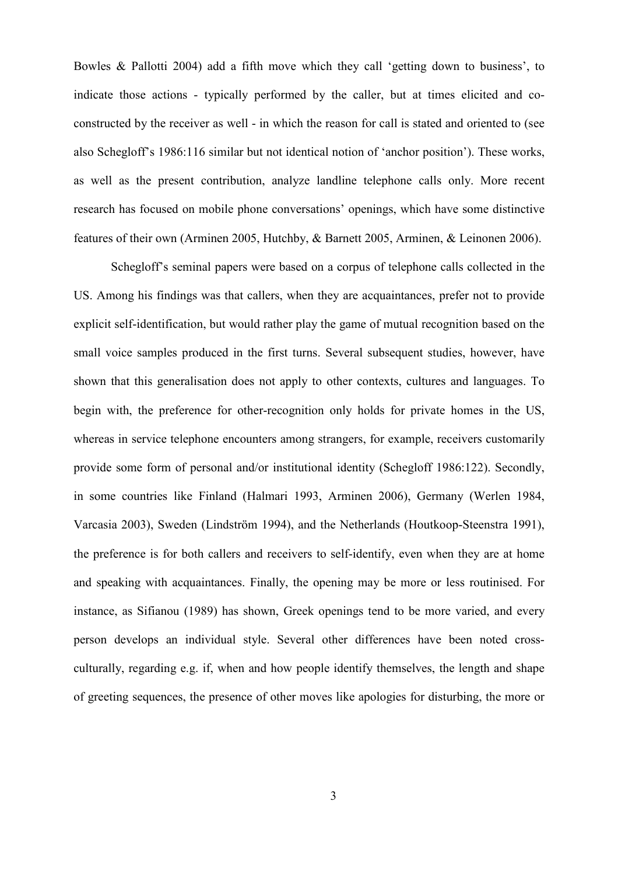Bowles & Pallotti 2004) add a fifth move which they call 'getting down to business', to indicate those actions - typically performed by the caller, but at times elicited and coconstructed by the receiver as well - in which the reason for call is stated and oriented to (see also Schegloff's 1986:116 similar but not identical notion of 'anchor position'). These works, as well as the present contribution, analyze landline telephone calls only. More recent research has focused on mobile phone conversations' openings, which have some distinctive features of their own (Arminen 2005, Hutchby, & Barnett 2005, Arminen, & Leinonen 2006).

Schegloff's seminal papers were based on a corpus of telephone calls collected in the US. Among his findings was that callers, when they are acquaintances, prefer not to provide explicit self-identification, but would rather play the game of mutual recognition based on the small voice samples produced in the first turns. Several subsequent studies, however, have shown that this generalisation does not apply to other contexts, cultures and languages. To begin with, the preference for other-recognition only holds for private homes in the US, whereas in service telephone encounters among strangers, for example, receivers customarily provide some form of personal and/or institutional identity (Schegloff 1986:122). Secondly, in some countries like Finland (Halmari 1993, Arminen 2006), Germany (Werlen 1984, Varcasia 2003), Sweden (Lindström 1994), and the Netherlands (Houtkoop-Steenstra 1991), the preference is for both callers and receivers to self-identify, even when they are at home and speaking with acquaintances. Finally, the opening may be more or less routinised. For instance, as Sifianou (1989) has shown, Greek openings tend to be more varied, and every person develops an individual style. Several other differences have been noted crossculturally, regarding e.g. if, when and how people identify themselves, the length and shape of greeting sequences, the presence of other moves like apologies for disturbing, the more or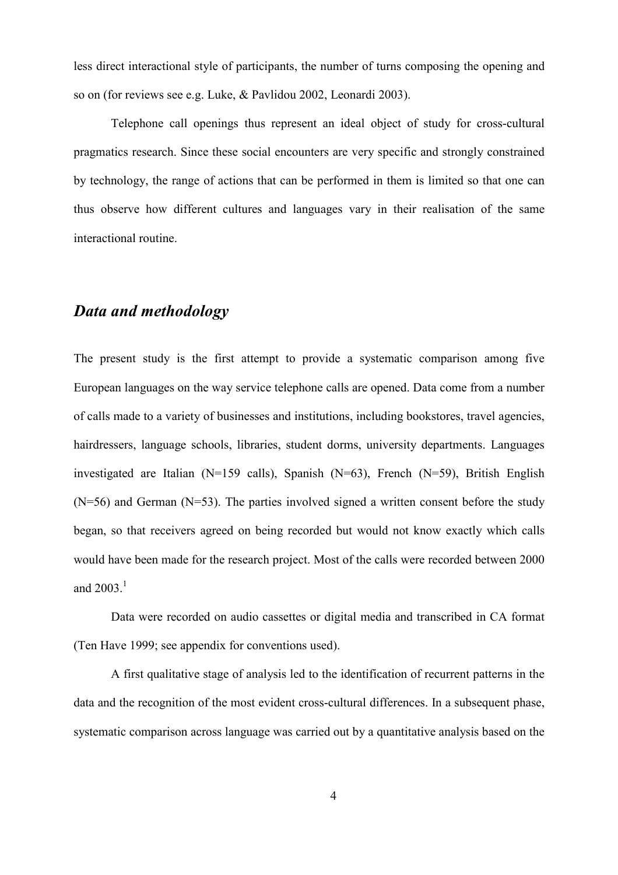less direct interactional style of participants, the number of turns composing the opening and so on (for reviews see e.g. Luke, & Pavlidou 2002, Leonardi 2003).

Telephone call openings thus represent an ideal object of study for cross-cultural pragmatics research. Since these social encounters are very specific and strongly constrained by technology, the range of actions that can be performed in them is limited so that one can thus observe how different cultures and languages vary in their realisation of the same interactional routine.

# Data and methodology

The present study is the first attempt to provide a systematic comparison among five European languages on the way service telephone calls are opened. Data come from a number of calls made to a variety of businesses and institutions, including bookstores, travel agencies, hairdressers, language schools, libraries, student dorms, university departments. Languages investigated are Italian (N=159 calls), Spanish (N=63), French (N=59), British English  $(N=56)$  and German  $(N=53)$ . The parties involved signed a written consent before the study began, so that receivers agreed on being recorded but would not know exactly which calls would have been made for the research project. Most of the calls were recorded between 2000 and  $2003.<sup>1</sup>$ 

Data were recorded on audio cassettes or digital media and transcribed in CA format (Ten Have 1999; see appendix for conventions used).

A first qualitative stage of analysis led to the identification of recurrent patterns in the data and the recognition of the most evident cross-cultural differences. In a subsequent phase, systematic comparison across language was carried out by a quantitative analysis based on the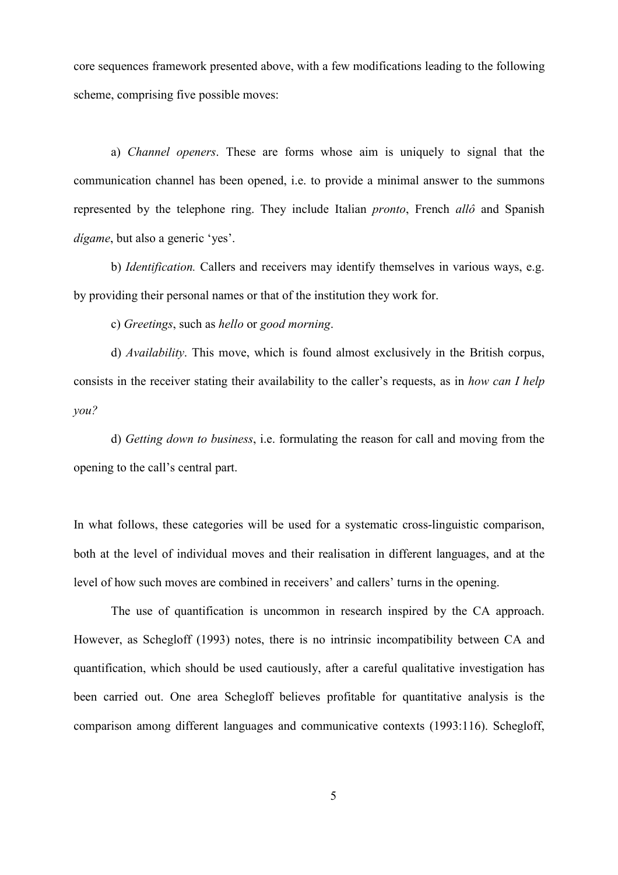core sequences framework presented above, with a few modifications leading to the following scheme, comprising five possible moves:

a) Channel openers. These are forms whose aim is uniquely to signal that the communication channel has been opened, i.e. to provide a minimal answer to the summons represented by the telephone ring. They include Italian pronto, French allô and Spanish dígame, but also a generic 'yes'.

b) Identification. Callers and receivers may identify themselves in various ways, e.g. by providing their personal names or that of the institution they work for.

c) Greetings, such as hello or good morning.

d) Availability. This move, which is found almost exclusively in the British corpus, consists in the receiver stating their availability to the caller's requests, as in how can I help you?

d) Getting down to business, i.e. formulating the reason for call and moving from the opening to the call's central part.

In what follows, these categories will be used for a systematic cross-linguistic comparison, both at the level of individual moves and their realisation in different languages, and at the level of how such moves are combined in receivers' and callers' turns in the opening.

The use of quantification is uncommon in research inspired by the CA approach. However, as Schegloff (1993) notes, there is no intrinsic incompatibility between CA and quantification, which should be used cautiously, after a careful qualitative investigation has been carried out. One area Schegloff believes profitable for quantitative analysis is the comparison among different languages and communicative contexts (1993:116). Schegloff,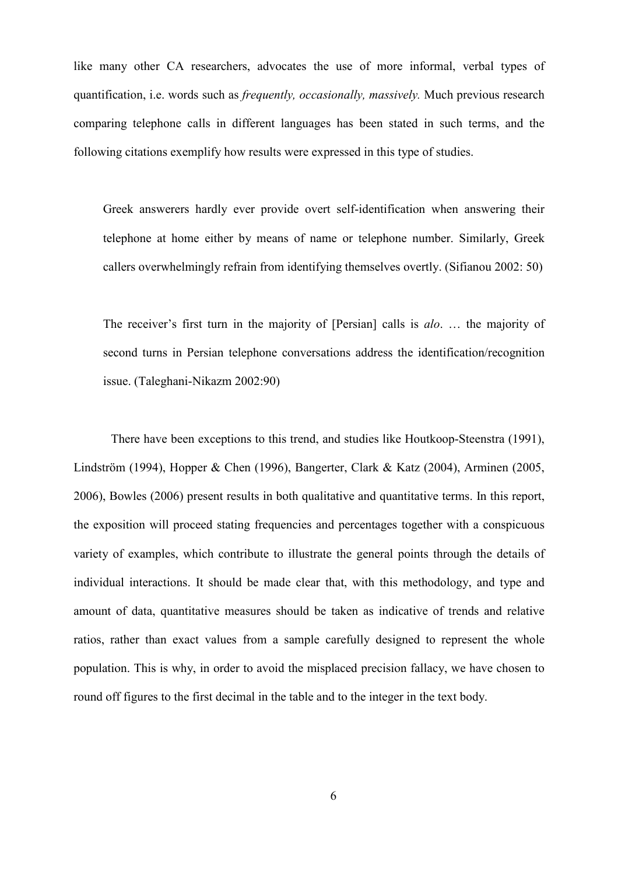like many other CA researchers, advocates the use of more informal, verbal types of quantification, i.e. words such as frequently, occasionally, massively. Much previous research comparing telephone calls in different languages has been stated in such terms, and the following citations exemplify how results were expressed in this type of studies.

Greek answerers hardly ever provide overt self-identification when answering their telephone at home either by means of name or telephone number. Similarly, Greek callers overwhelmingly refrain from identifying themselves overtly. (Sifianou 2002: 50)

The receiver's first turn in the majority of [Persian] calls is *alo.* ... the majority of second turns in Persian telephone conversations address the identification/recognition issue. (Taleghani-Nikazm 2002:90)

There have been exceptions to this trend, and studies like Houtkoop-Steenstra (1991), Lindström (1994), Hopper & Chen (1996), Bangerter, Clark & Katz (2004), Arminen (2005, 2006), Bowles (2006) present results in both qualitative and quantitative terms. In this report, the exposition will proceed stating frequencies and percentages together with a conspicuous variety of examples, which contribute to illustrate the general points through the details of individual interactions. It should be made clear that, with this methodology, and type and amount of data, quantitative measures should be taken as indicative of trends and relative ratios, rather than exact values from a sample carefully designed to represent the whole population. This is why, in order to avoid the misplaced precision fallacy, we have chosen to round off figures to the first decimal in the table and to the integer in the text body.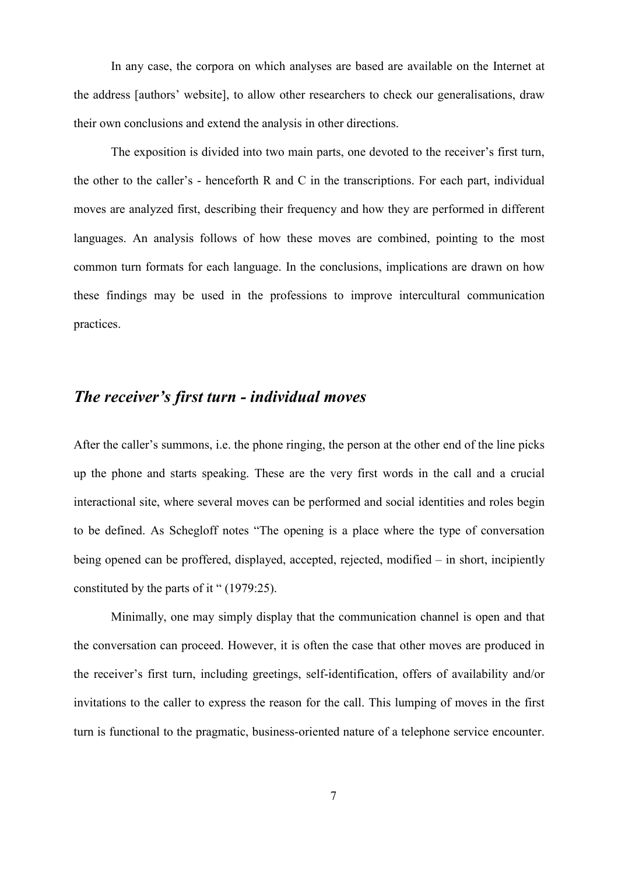In any case, the corpora on which analyses are based are available on the Internet at the address [authors' website], to allow other researchers to check our generalisations, draw their own conclusions and extend the analysis in other directions.

The exposition is divided into two main parts, one devoted to the receiver's first turn, the other to the caller's - henceforth R and C in the transcriptions. For each part, individual moves are analyzed first, describing their frequency and how they are performed in different languages. An analysis follows of how these moves are combined, pointing to the most common turn formats for each language. In the conclusions, implications are drawn on how these findings may be used in the professions to improve intercultural communication practices.

# The receiver's first turn - individual moves

After the caller's summons, i.e. the phone ringing, the person at the other end of the line picks up the phone and starts speaking. These are the very first words in the call and a crucial interactional site, where several moves can be performed and social identities and roles begin to be defined. As Schegloff notes "The opening is a place where the type of conversation being opened can be proffered, displayed, accepted, rejected, modified – in short, incipiently constituted by the parts of it " (1979:25).

Minimally, one may simply display that the communication channel is open and that the conversation can proceed. However, it is often the case that other moves are produced in the receiver's first turn, including greetings, self-identification, offers of availability and/or invitations to the caller to express the reason for the call. This lumping of moves in the first turn is functional to the pragmatic, business-oriented nature of a telephone service encounter.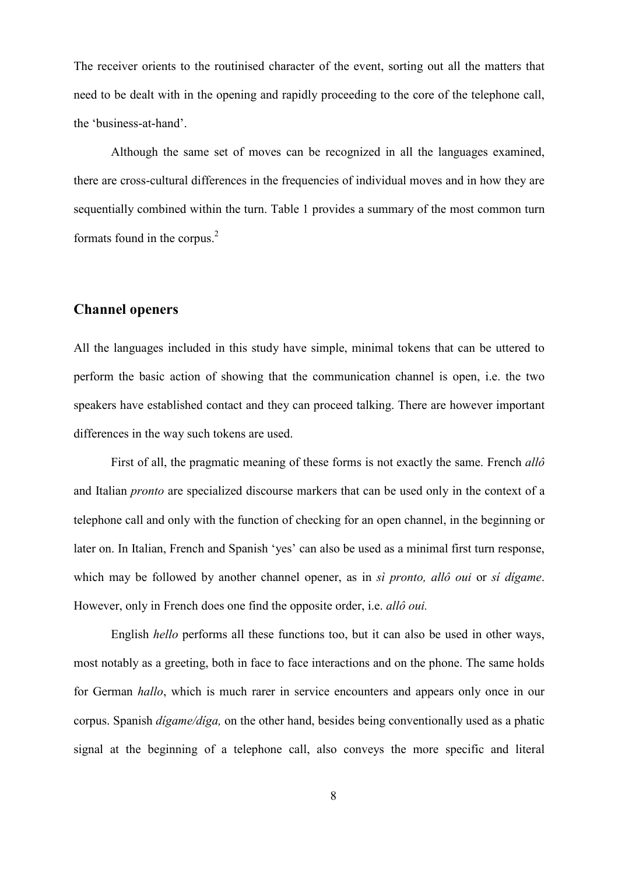The receiver orients to the routinised character of the event, sorting out all the matters that need to be dealt with in the opening and rapidly proceeding to the core of the telephone call, the 'business-at-hand'.

Although the same set of moves can be recognized in all the languages examined, there are cross-cultural differences in the frequencies of individual moves and in how they are sequentially combined within the turn. Table 1 provides a summary of the most common turn formats found in the corpus.<sup>2</sup>

#### Channel openers

All the languages included in this study have simple, minimal tokens that can be uttered to perform the basic action of showing that the communication channel is open, i.e. the two speakers have established contact and they can proceed talking. There are however important differences in the way such tokens are used.

First of all, the pragmatic meaning of these forms is not exactly the same. French allo and Italian pronto are specialized discourse markers that can be used only in the context of a telephone call and only with the function of checking for an open channel, in the beginning or later on. In Italian, French and Spanish 'yes' can also be used as a minimal first turn response, which may be followed by another channel opener, as in si pronto, allo *oui* or si digame. However, only in French does one find the opposite order, i.e. allô oui.

English hello performs all these functions too, but it can also be used in other ways, most notably as a greeting, both in face to face interactions and on the phone. The same holds for German hallo, which is much rarer in service encounters and appears only once in our corpus. Spanish *digame/diga*, on the other hand, besides being conventionally used as a phatic signal at the beginning of a telephone call, also conveys the more specific and literal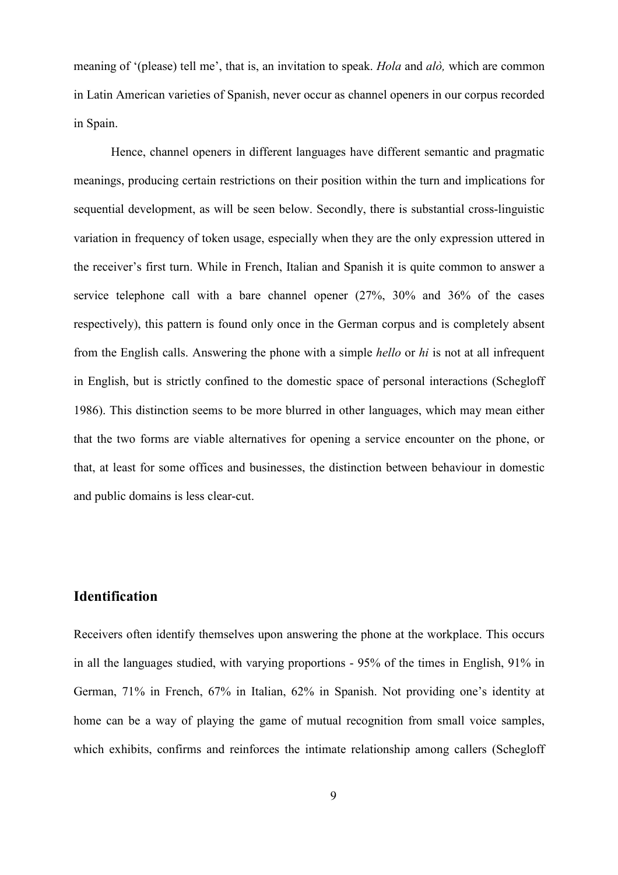meaning of '(please) tell me', that is, an invitation to speak. *Hola* and *alò*, which are common in Latin American varieties of Spanish, never occur as channel openers in our corpus recorded in Spain.

Hence, channel openers in different languages have different semantic and pragmatic meanings, producing certain restrictions on their position within the turn and implications for sequential development, as will be seen below. Secondly, there is substantial cross-linguistic variation in frequency of token usage, especially when they are the only expression uttered in the receiver's first turn. While in French, Italian and Spanish it is quite common to answer a service telephone call with a bare channel opener (27%, 30% and 36% of the cases respectively), this pattern is found only once in the German corpus and is completely absent from the English calls. Answering the phone with a simple hello or hi is not at all infrequent in English, but is strictly confined to the domestic space of personal interactions (Schegloff 1986). This distinction seems to be more blurred in other languages, which may mean either that the two forms are viable alternatives for opening a service encounter on the phone, or that, at least for some offices and businesses, the distinction between behaviour in domestic and public domains is less clear-cut.

### Identification

Receivers often identify themselves upon answering the phone at the workplace. This occurs in all the languages studied, with varying proportions - 95% of the times in English, 91% in German, 71% in French, 67% in Italian, 62% in Spanish. Not providing one's identity at home can be a way of playing the game of mutual recognition from small voice samples, which exhibits, confirms and reinforces the intimate relationship among callers (Schegloff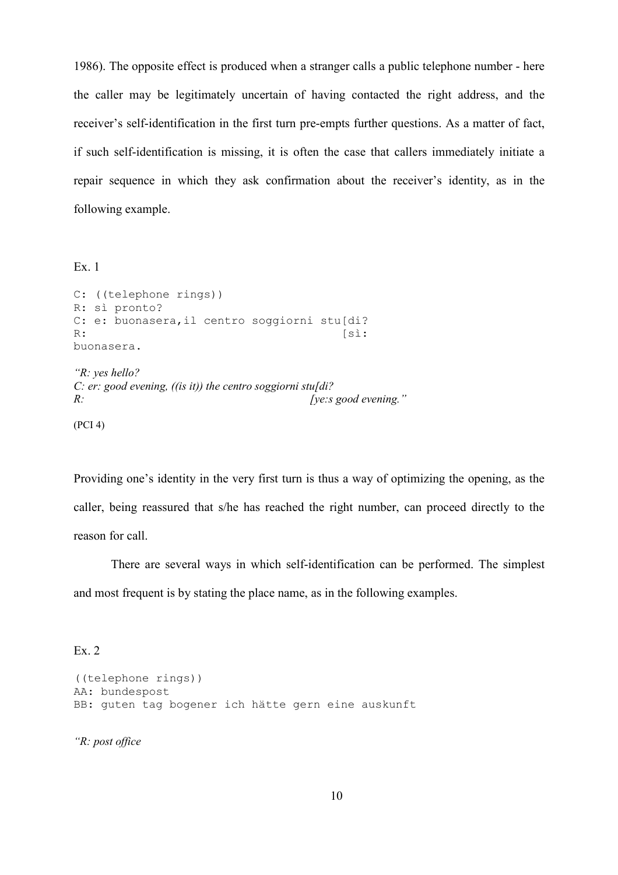1986). The opposite effect is produced when a stranger calls a public telephone number - here the caller may be legitimately uncertain of having contacted the right address, and the receiver's self-identification in the first turn pre-empts further questions. As a matter of fact, if such self-identification is missing, it is often the case that callers immediately initiate a repair sequence in which they ask confirmation about the receiver's identity, as in the following example.

Ex. 1

```
C: ((telephone rings)) 
R: sì pronto? 
C: e: buonasera, il centro soggiorni stu[di?
R: [sì:
buonasera.
```

```
"R: yes hello? 
C: er: good evening, ((is it)) the centro soggiorni stu[di?
R: [ye:s good evening."
```
(PCI 4)

Providing one's identity in the very first turn is thus a way of optimizing the opening, as the caller, being reassured that s/he has reached the right number, can proceed directly to the reason for call.

There are several ways in which self-identification can be performed. The simplest and most frequent is by stating the place name, as in the following examples.

Ex. 2

```
((telephone rings)) 
AA: bundespost 
BB: guten tag bogener ich hätte gern eine auskunft
```
"R: post office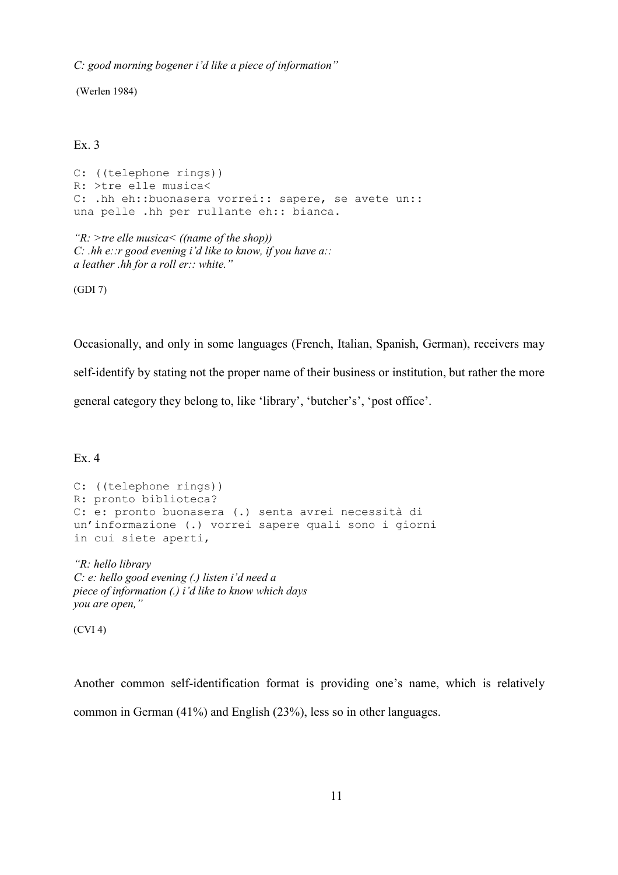C: good morning bogener i'd like a piece of information"

(Werlen 1984)

#### Ex. 3

C: ((telephone rings)) R: >tre elle musica< C: .hh eh::buonasera vorrei:: sapere, se avete un:: una pelle .hh per rullante eh:: bianca.

" $R$ : >tre elle musica  $\leq$  ((name of the shop)) C: .hh e:: r good evening i'd like to know, if you have  $a$ :: a leather .hh for a roll er:: white."

(GDI 7)

Occasionally, and only in some languages (French, Italian, Spanish, German), receivers may self-identify by stating not the proper name of their business or institution, but rather the more general category they belong to, like 'library', 'butcher's', 'post office'.

Ex. 4

```
C: ((telephone rings)) 
R: pronto biblioteca? 
C: e: pronto buonasera (.) senta avrei necessità di 
un'informazione (.) vorrei sapere quali sono i giorni 
in cui siete aperti,
```
"R: hello library C: e: hello good evening (.) listen i'd need a piece of information (.) i'd like to know which days you are open,"

(CVI 4)

Another common self-identification format is providing one's name, which is relatively common in German (41%) and English (23%), less so in other languages.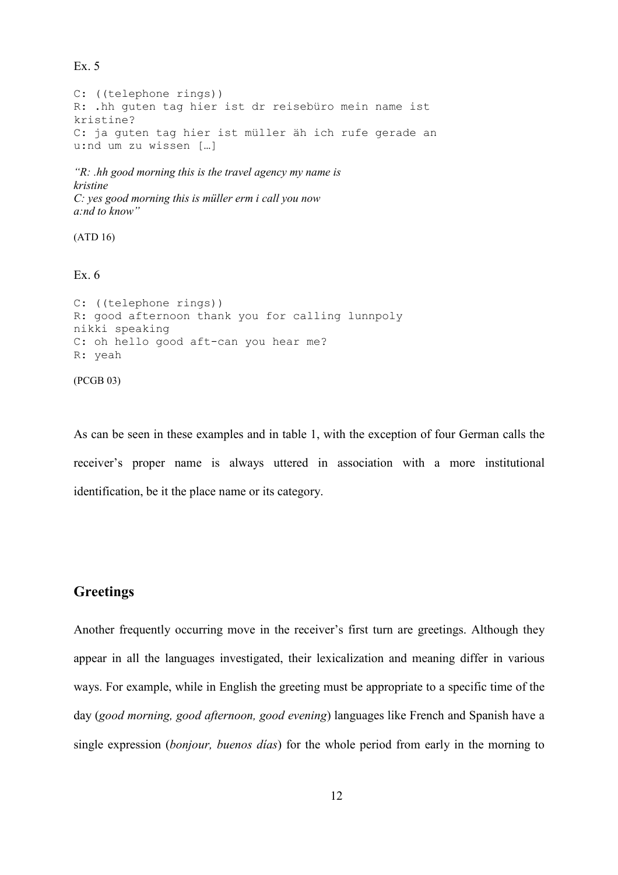Ex. 5

C: ((telephone rings)) R: .hh guten tag hier ist dr reisebüro mein name ist kristine? C: ja guten tag hier ist müller äh ich rufe gerade an u:nd um zu wissen […]

```
"R: .hh good morning this is the travel agency my name is
kristine 
C: yes good morning this is müller erm i call you now 
a:nd to know"
```
(ATD 16)

Ex. 6

```
C: ((telephone rings)) 
R: good afternoon thank you for calling lunnpoly 
nikki speaking 
C: oh hello good aft-can you hear me? 
R: yeah 
(PCGB 03)
```
As can be seen in these examples and in table 1, with the exception of four German calls the receiver's proper name is always uttered in association with a more institutional identification, be it the place name or its category.

#### **Greetings**

Another frequently occurring move in the receiver's first turn are greetings. Although they appear in all the languages investigated, their lexicalization and meaning differ in various ways. For example, while in English the greeting must be appropriate to a specific time of the day (good morning, good afternoon, good evening) languages like French and Spanish have a single expression (*bonjour*, *buenos días*) for the whole period from early in the morning to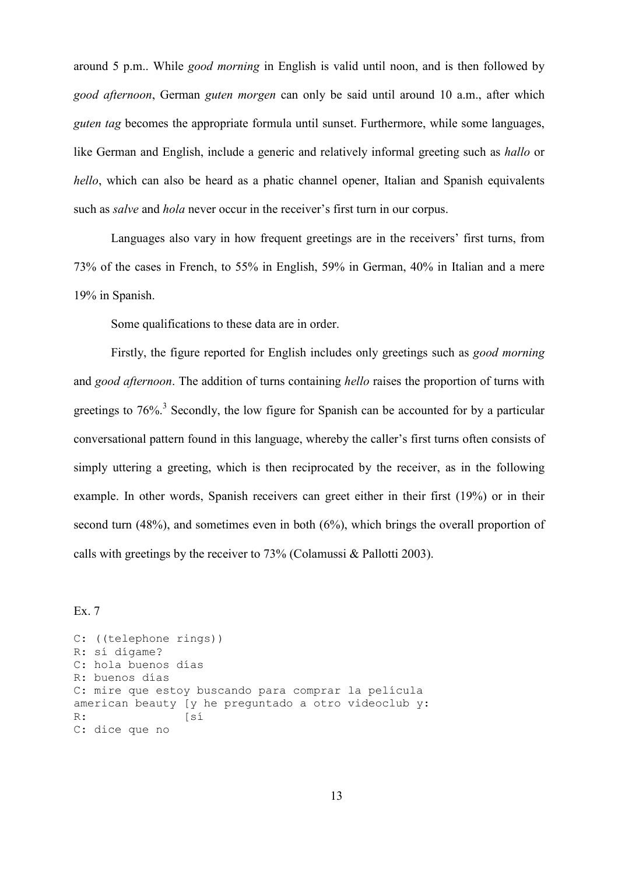around 5 p.m.. While good morning in English is valid until noon, and is then followed by good afternoon, German guten morgen can only be said until around 10 a.m., after which guten tag becomes the appropriate formula until sunset. Furthermore, while some languages, like German and English, include a generic and relatively informal greeting such as *hallo* or hello, which can also be heard as a phatic channel opener, Italian and Spanish equivalents such as *salve* and *hola* never occur in the receiver's first turn in our corpus.

Languages also vary in how frequent greetings are in the receivers' first turns, from 73% of the cases in French, to 55% in English, 59% in German, 40% in Italian and a mere 19% in Spanish.

Some qualifications to these data are in order.

Firstly, the figure reported for English includes only greetings such as *good morning* and good afternoon. The addition of turns containing hello raises the proportion of turns with greetings to 76%.<sup>3</sup> Secondly, the low figure for Spanish can be accounted for by a particular conversational pattern found in this language, whereby the caller's first turns often consists of simply uttering a greeting, which is then reciprocated by the receiver, as in the following example. In other words, Spanish receivers can greet either in their first (19%) or in their second turn (48%), and sometimes even in both (6%), which brings the overall proportion of calls with greetings by the receiver to 73% (Colamussi & Pallotti 2003).

Ex. 7

```
C: ((telephone rings)) 
R: sí dígame? 
C: hola buenos días 
R: buenos días 
C: mire que estoy buscando para comprar la película 
american beauty [y he preguntado a otro videoclub y: 
R: [sí
C: dice que no
```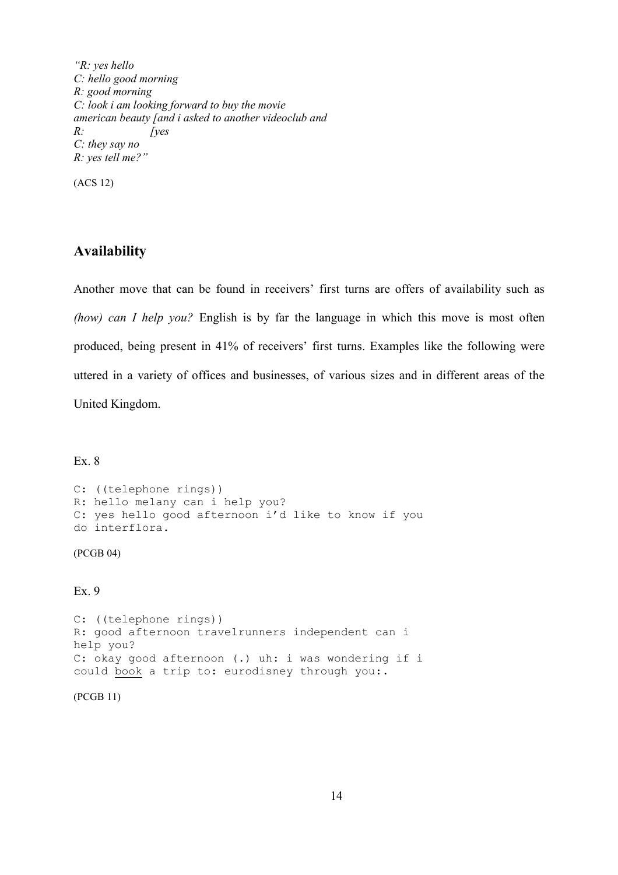"R: yes hello C: hello good morning R: good morning C: look i am looking forward to buy the movie american beauty [and i asked to another videoclub and  $R$ : [yes C: they say no R: yes tell me?"

(ACS 12)

### Availability

Another move that can be found in receivers' first turns are offers of availability such as (how) can I help you? English is by far the language in which this move is most often produced, being present in 41% of receivers' first turns. Examples like the following were uttered in a variety of offices and businesses, of various sizes and in different areas of the United Kingdom.

Ex. 8

```
C: ((telephone rings)) 
R: hello melany can i help you? 
C: yes hello good afternoon i'd like to know if you
do interflora.
```
(PCGB 04)

#### Ex. 9

```
C: ((telephone rings)) 
R: good afternoon travelrunners independent can i 
help you? 
C: okay good afternoon (.) uh: i was wondering if i
could book a trip to: eurodisney through you:.
```
(PCGB 11)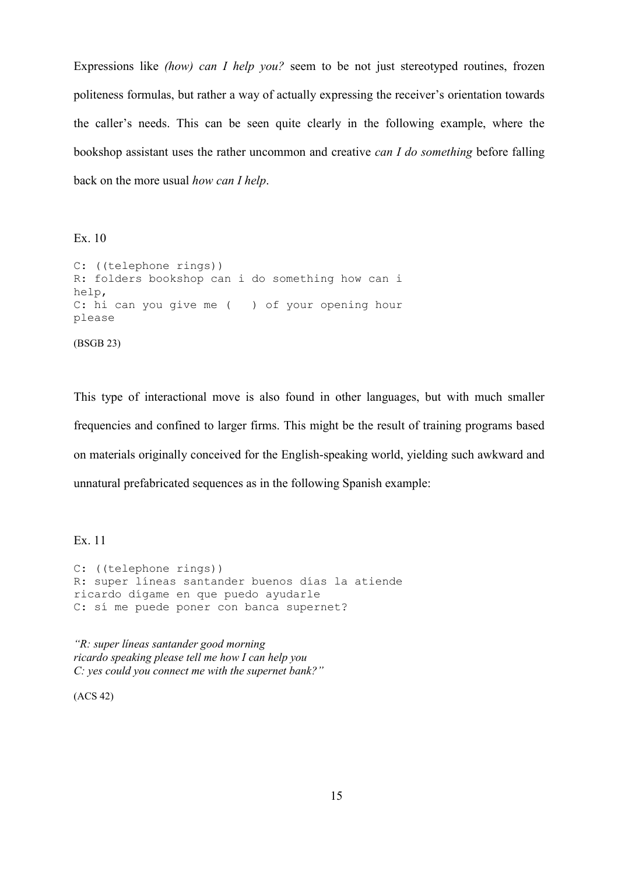Expressions like *(how)* can *I help you?* seem to be not just stereotyped routines, frozen politeness formulas, but rather a way of actually expressing the receiver's orientation towards the caller's needs. This can be seen quite clearly in the following example, where the bookshop assistant uses the rather uncommon and creative can I do something before falling back on the more usual how can I help.

Ex. 10

```
C: ((telephone rings)) 
R: folders bookshop can i do something how can i 
help, 
C: hi can you give me ( ) of your opening hour
please 
(BSGB 23)
```
This type of interactional move is also found in other languages, but with much smaller frequencies and confined to larger firms. This might be the result of training programs based on materials originally conceived for the English-speaking world, yielding such awkward and unnatural prefabricated sequences as in the following Spanish example:

Ex. 11

C: ((telephone rings)) R: super líneas santander buenos días la atiende ricardo dígame en que puedo ayudarle C: sí me puede poner con banca supernet?

"R: super líneas santander good morning ricardo speaking please tell me how I can help you C: yes could you connect me with the supernet bank?"

(ACS 42)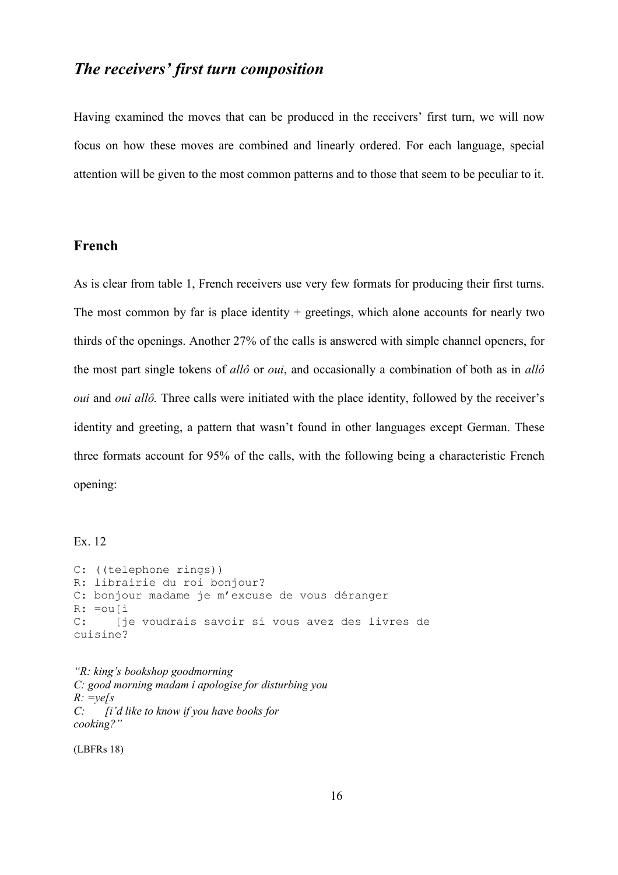## The receivers' first turn composition

Having examined the moves that can be produced in the receivers' first turn, we will now focus on how these moves are combined and linearly ordered. For each language, special attention will be given to the most common patterns and to those that seem to be peculiar to it.

#### French

As is clear from table 1, French receivers use very few formats for producing their first turns. The most common by far is place identity  $+$  greetings, which alone accounts for nearly two thirds of the openings. Another 27% of the calls is answered with simple channel openers, for the most part single tokens of allo or *oui*, and occasionally a combination of both as in allo oui and oui allô. Three calls were initiated with the place identity, followed by the receiver's identity and greeting, a pattern that wasn't found in other languages except German. These three formats account for 95% of the calls, with the following being a characteristic French opening:

#### Ex. 12

```
C: ((telephone rings)) 
R: librairie du roi bonjour? 
C: bonjour madame je m'excuse de vous déranger 
R: =ou[i 
C: [je voudrais savoir si vous avez des livres de 
cuisine?
```

```
"R: king's bookshop goodmorning 
C: good morning madam i apologise for disturbing you 
R: = ye[s]<br>C: [i]Ii'd like to know if you have books for
cooking?"
```
(LBFRs 18)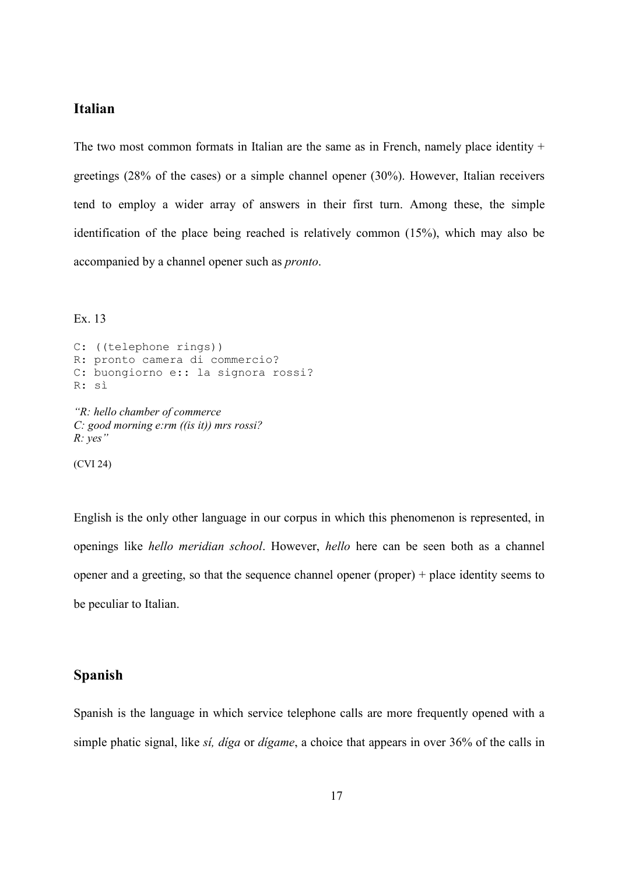#### Italian

The two most common formats in Italian are the same as in French, namely place identity  $+$ greetings (28% of the cases) or a simple channel opener (30%). However, Italian receivers tend to employ a wider array of answers in their first turn. Among these, the simple identification of the place being reached is relatively common (15%), which may also be accompanied by a channel opener such as pronto.

Ex. 13

```
C: ((telephone rings)) 
R: pronto camera di commercio? 
C: buongiorno e:: la signora rossi? 
R: sì 
"R: hello chamber of commerce 
C: good morning e:rm ((is it)) mrs rossi? 
R: yes"
```
(CVI 24)

English is the only other language in our corpus in which this phenomenon is represented, in openings like hello meridian school. However, hello here can be seen both as a channel opener and a greeting, so that the sequence channel opener (proper) + place identity seems to be peculiar to Italian.

#### Spanish

Spanish is the language in which service telephone calls are more frequently opened with a simple phatic signal, like *si, diga* or *digame*, a choice that appears in over 36% of the calls in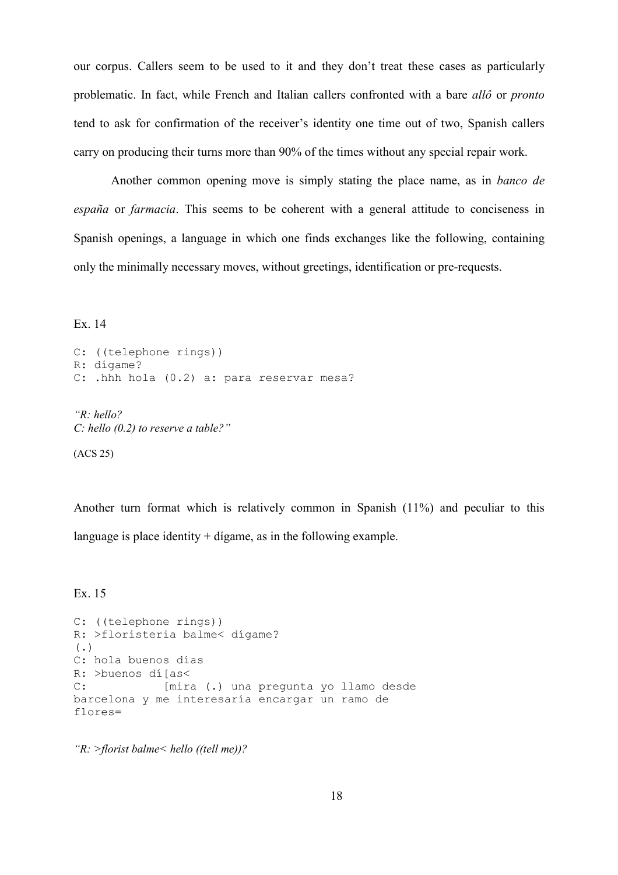our corpus. Callers seem to be used to it and they don't treat these cases as particularly problematic. In fact, while French and Italian callers confronted with a bare allô or pronto tend to ask for confirmation of the receiver's identity one time out of two, Spanish callers carry on producing their turns more than 90% of the times without any special repair work.

Another common opening move is simply stating the place name, as in banco de españa or farmacia. This seems to be coherent with a general attitude to conciseness in Spanish openings, a language in which one finds exchanges like the following, containing only the minimally necessary moves, without greetings, identification or pre-requests.

Ex. 14

```
C: ((telephone rings)) 
R: dígame? 
C: .hhh hola (0.2) a: para reservar mesa?
```
"R: hello? C: hello  $(0.2)$  to reserve a table?"

(ACS 25)

Another turn format which is relatively common in Spanish (11%) and peculiar to this language is place identity  $+$  dígame, as in the following example.

Ex. 15

```
C: ((telephone rings)) 
R: >floristeria balme< dígame? 
(.)
C: hola buenos días 
R: >buenos dí[as< 
C: [mira (.) una pregunta yo llamo desde 
barcelona y me interesaría encargar un ramo de 
flores=
```
" $R:$  >florist balme  $\le$  hello ((tell me))?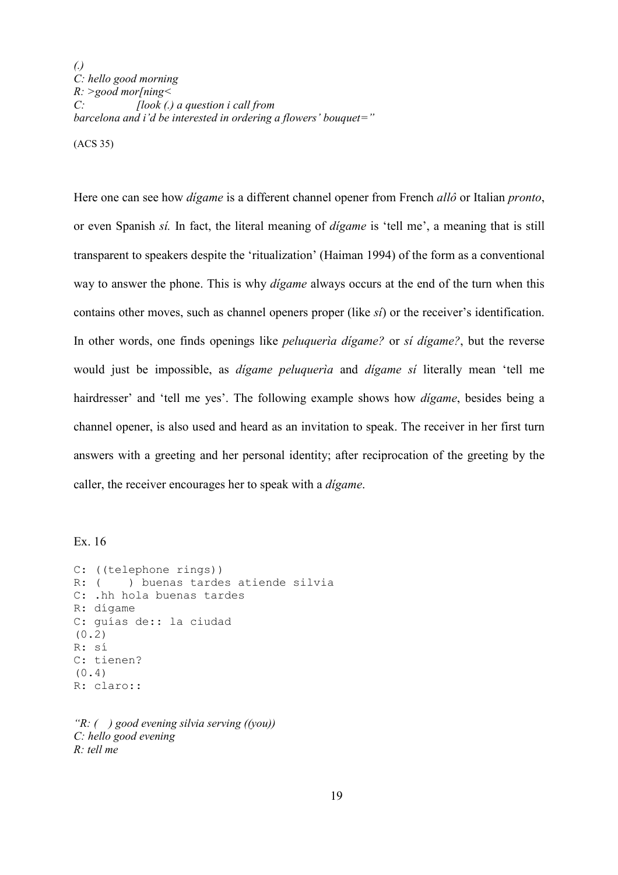(.) C: hello good morning  $R:$  >good mor[ning<  $C: \qquad \qquad [look (.) a question i call from$ barcelona and i'd be interested in ordering a flowers' bouquet="

(ACS 35)

Here one can see how *digame* is a different channel opener from French *allô* or Italian *pronto*, or even Spanish sí. In fact, the literal meaning of dígame is 'tell me', a meaning that is still transparent to speakers despite the 'ritualization' (Haiman 1994) of the form as a conventional way to answer the phone. This is why *digame* always occurs at the end of the turn when this contains other moves, such as channel openers proper (like sí) or the receiver's identification. In other words, one finds openings like *peluqueria digame?* or *si digame?*, but the reverse would just be impossible, as dígame peluquerìa and dígame sí literally mean 'tell me hairdresser' and 'tell me yes'. The following example shows how *digame*, besides being a channel opener, is also used and heard as an invitation to speak. The receiver in her first turn answers with a greeting and her personal identity; after reciprocation of the greeting by the caller, the receiver encourages her to speak with a dígame.

#### Ex. 16

C: ((telephone rings)) R: ( ) buenas tardes atiende silvia C: .hh hola buenas tardes R: dígame C: guías de:: la ciudad (0.2) R: sí C: tienen? (0.4) R: claro::

" $R: ( )$  good evening silvia serving  $((vou))$ C: hello good evening R: tell me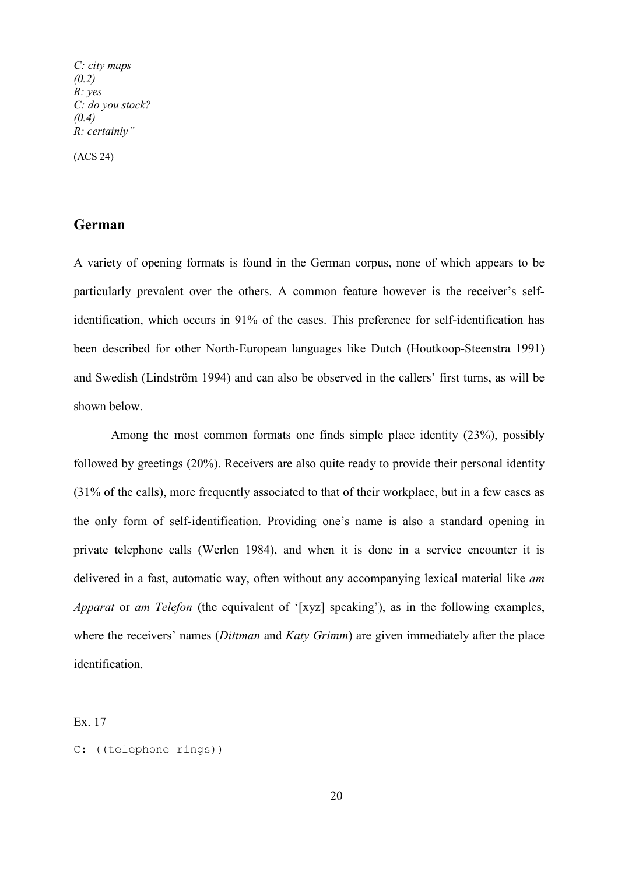C: city maps  $(0.2)$ R: yes C: do you stock?  $(0.4)$ R: certainly"

(ACS 24)

#### German

A variety of opening formats is found in the German corpus, none of which appears to be particularly prevalent over the others. A common feature however is the receiver's selfidentification, which occurs in 91% of the cases. This preference for self-identification has been described for other North-European languages like Dutch (Houtkoop-Steenstra 1991) and Swedish (Lindström 1994) and can also be observed in the callers' first turns, as will be shown below.

Among the most common formats one finds simple place identity (23%), possibly followed by greetings (20%). Receivers are also quite ready to provide their personal identity (31% of the calls), more frequently associated to that of their workplace, but in a few cases as the only form of self-identification. Providing one's name is also a standard opening in private telephone calls (Werlen 1984), and when it is done in a service encounter it is delivered in a fast, automatic way, often without any accompanying lexical material like *am* Apparat or am Telefon (the equivalent of '[xyz] speaking'), as in the following examples, where the receivers' names *(Dittman and Katy Grimm)* are given immediately after the place identification.

Ex. 17

C: ((telephone rings))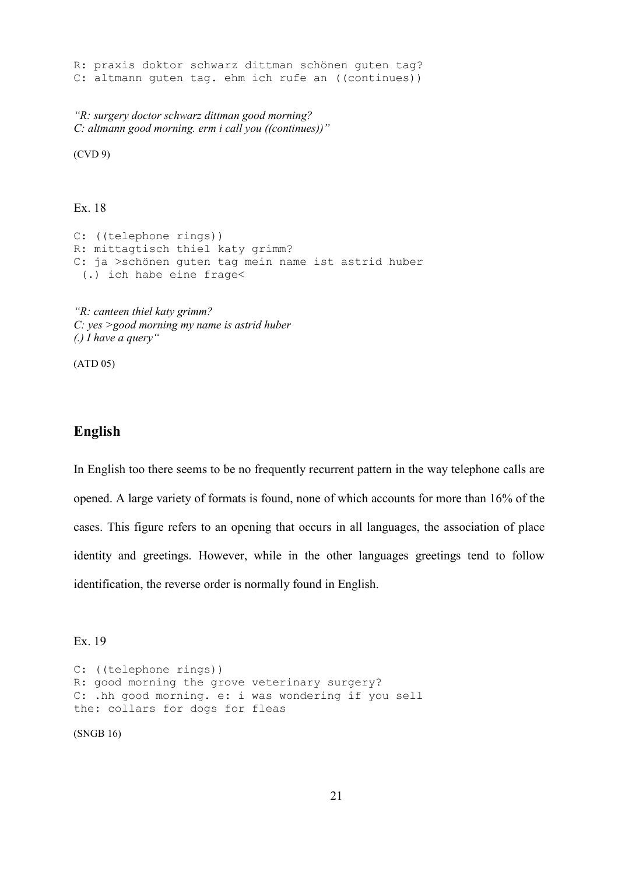R: praxis doktor schwarz dittman schönen guten tag? C: altmann guten tag. ehm ich rufe an ((continues))

"R: surgery doctor schwarz dittman good morning? C: altmann good morning. erm i call you ((continues))"

(CVD 9)

Ex. 18

C: ((telephone rings)) R: mittagtisch thiel katy grimm? C: ja >schönen guten tag mein name ist astrid huber (.) ich habe eine frage<

"R: canteen thiel katy grimm? C: yes >good morning my name is astrid huber  $\left(.\right)$  I have a query"

(ATD 05)

#### English

In English too there seems to be no frequently recurrent pattern in the way telephone calls are opened. A large variety of formats is found, none of which accounts for more than 16% of the cases. This figure refers to an opening that occurs in all languages, the association of place identity and greetings. However, while in the other languages greetings tend to follow identification, the reverse order is normally found in English.

Ex. 19

```
C: ((telephone rings)) 
R: good morning the grove veterinary surgery? 
C: .hh good morning. e: i was wondering if you sell
the: collars for dogs for fleas
```
(SNGB 16)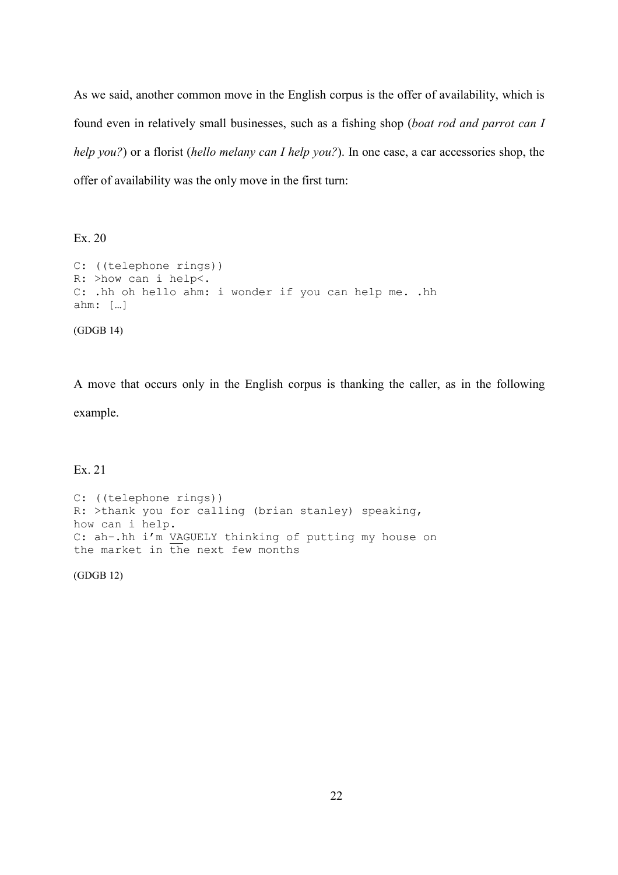As we said, another common move in the English corpus is the offer of availability, which is found even in relatively small businesses, such as a fishing shop (boat rod and parrot can I help you?) or a florist (hello melany can I help you?). In one case, a car accessories shop, the offer of availability was the only move in the first turn:

Ex. 20

```
C: ((telephone rings)) 
R: >how can i help<. 
C: .hh oh hello ahm: i wonder if you can help me. .hh 
ahm: […] 
(GDGB 14)
```
A move that occurs only in the English corpus is thanking the caller, as in the following example.

Ex. 21

C: ((telephone rings)) R: >thank you for calling (brian stanley) speaking, how can i help. C: ah-.hh i'm VAGUELY thinking of putting my house on the market in the next few months

(GDGB 12)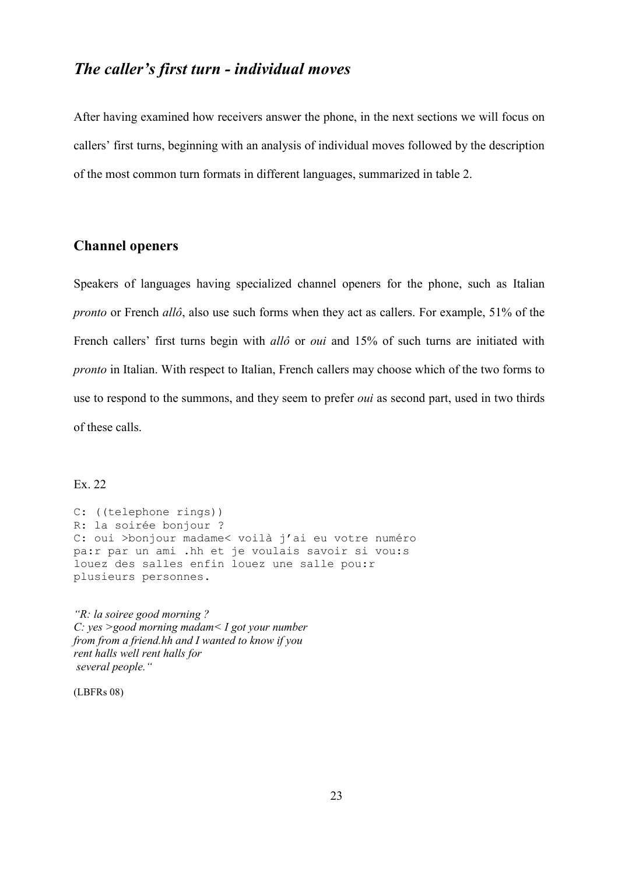# The caller's first turn - individual moves

After having examined how receivers answer the phone, in the next sections we will focus on callers' first turns, beginning with an analysis of individual moves followed by the description of the most common turn formats in different languages, summarized in table 2.

#### Channel openers

Speakers of languages having specialized channel openers for the phone, such as Italian pronto or French allô, also use such forms when they act as callers. For example, 51% of the French callers' first turns begin with *allô* or *oui* and 15% of such turns are initiated with pronto in Italian. With respect to Italian, French callers may choose which of the two forms to use to respond to the summons, and they seem to prefer *oui* as second part, used in two thirds of these calls.

Ex. 22

C: ((telephone rings)) R: la soirée bonjour ? C: oui >bonjour madame< voilà j'ai eu votre numéro pa:r par un ami .hh et je voulais savoir si vou:s louez des salles enfin louez une salle pou:r plusieurs personnes.

"R: la soiree good morning ? C: yes >good morning madam< I got your number from from a friend.hh and I wanted to know if you rent halls well rent halls for several people."

(LBFRs 08)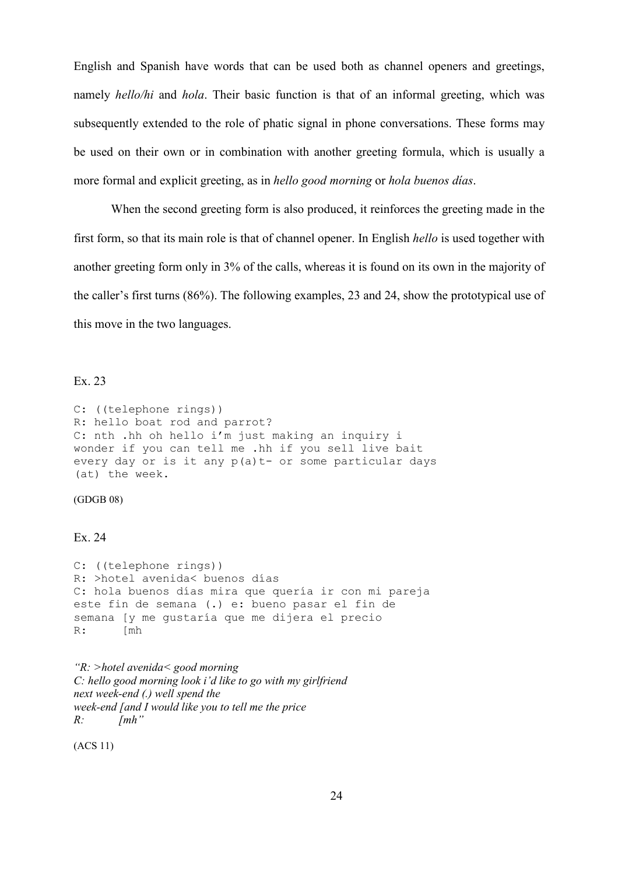English and Spanish have words that can be used both as channel openers and greetings, namely hello/hi and hola. Their basic function is that of an informal greeting, which was subsequently extended to the role of phatic signal in phone conversations. These forms may be used on their own or in combination with another greeting formula, which is usually a more formal and explicit greeting, as in hello good morning or hola buenos días.

When the second greeting form is also produced, it reinforces the greeting made in the first form, so that its main role is that of channel opener. In English hello is used together with another greeting form only in 3% of the calls, whereas it is found on its own in the majority of the caller's first turns (86%). The following examples, 23 and 24, show the prototypical use of this move in the two languages.

#### Ex. 23

C: ((telephone rings)) R: hello boat rod and parrot? C: nth .hh oh hello i'm just making an inquiry i wonder if you can tell me .hh if you sell live bait every day or is it any p(a)t- or some particular days (at) the week.

#### (GDGB 08)

#### Ex. 24

C: ((telephone rings)) R: >hotel avenida< buenos días C: hola buenos días mira que quería ir con mi pareja este fin de semana (.) e: bueno pasar el fin de semana [y me gustaría que me dijera el precio R: [mh]

"R: >hotel avenida< good morning C: hello good morning look i'd like to go with my girlfriend next week-end (.) well spend the week-end [and I would like you to tell me the price  $R$ :  $\{mh''\}$ 

(ACS 11)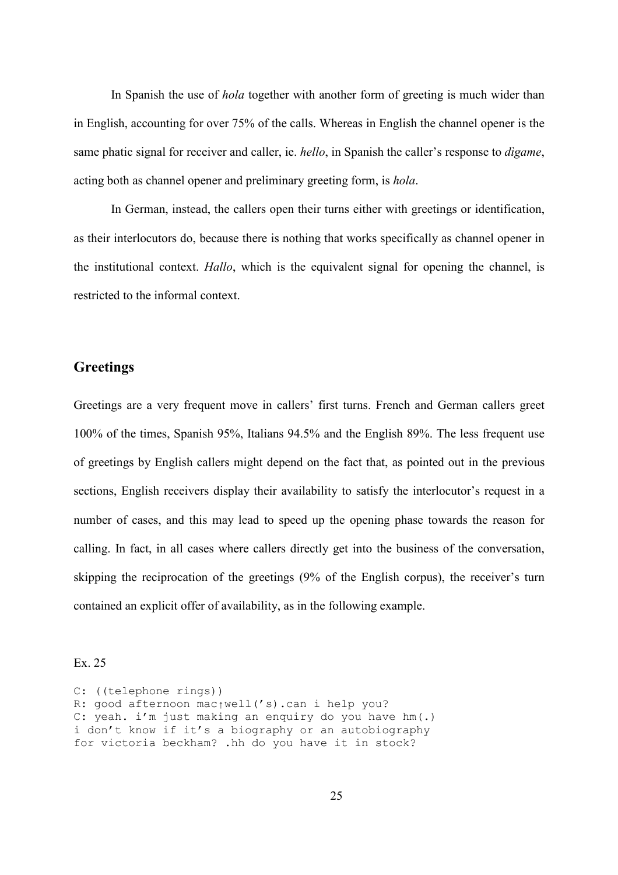In Spanish the use of *hola* together with another form of greeting is much wider than in English, accounting for over 75% of the calls. Whereas in English the channel opener is the same phatic signal for receiver and caller, ie. hello, in Spanish the caller's response to dìgame, acting both as channel opener and preliminary greeting form, is hola.

In German, instead, the callers open their turns either with greetings or identification, as their interlocutors do, because there is nothing that works specifically as channel opener in the institutional context. Hallo, which is the equivalent signal for opening the channel, is restricted to the informal context.

#### **Greetings**

Greetings are a very frequent move in callers' first turns. French and German callers greet 100% of the times, Spanish 95%, Italians 94.5% and the English 89%. The less frequent use of greetings by English callers might depend on the fact that, as pointed out in the previous sections, English receivers display their availability to satisfy the interlocutor's request in a number of cases, and this may lead to speed up the opening phase towards the reason for calling. In fact, in all cases where callers directly get into the business of the conversation, skipping the reciprocation of the greetings (9% of the English corpus), the receiver's turn contained an explicit offer of availability, as in the following example.

#### Ex. 25

C: ((telephone rings)) R: good afternoon mac↑well('s).can i help you? C: yeah. i'm just making an enquiry do you have hm(.) i don't know if it's a biography or an autobiography for victoria beckham? .hh do you have it in stock?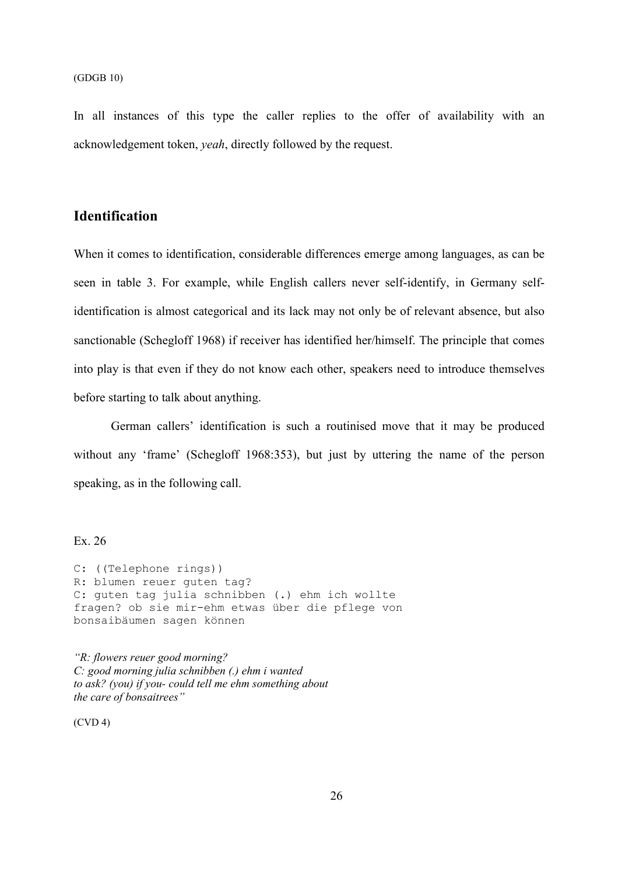#### (GDGB 10)

In all instances of this type the caller replies to the offer of availability with an acknowledgement token, yeah, directly followed by the request.

### Identification

When it comes to identification, considerable differences emerge among languages, as can be seen in table 3. For example, while English callers never self-identify, in Germany selfidentification is almost categorical and its lack may not only be of relevant absence, but also sanctionable (Schegloff 1968) if receiver has identified her/himself. The principle that comes into play is that even if they do not know each other, speakers need to introduce themselves before starting to talk about anything.

German callers' identification is such a routinised move that it may be produced without any 'frame' (Schegloff 1968:353), but just by uttering the name of the person speaking, as in the following call.

#### Ex. 26

```
C: ((Telephone rings)) 
R: blumen reuer guten tag? 
C: guten tag julia schnibben (.) ehm ich wollte 
fragen? ob sie mir-ehm etwas über die pflege von 
bonsaibäumen sagen können
```
"R: flowers reuer good morning? C: good morning julia schnibben (.) ehm i wanted to ask? (you) if you- could tell me ehm something about the care of bonsaitrees"

(CVD 4)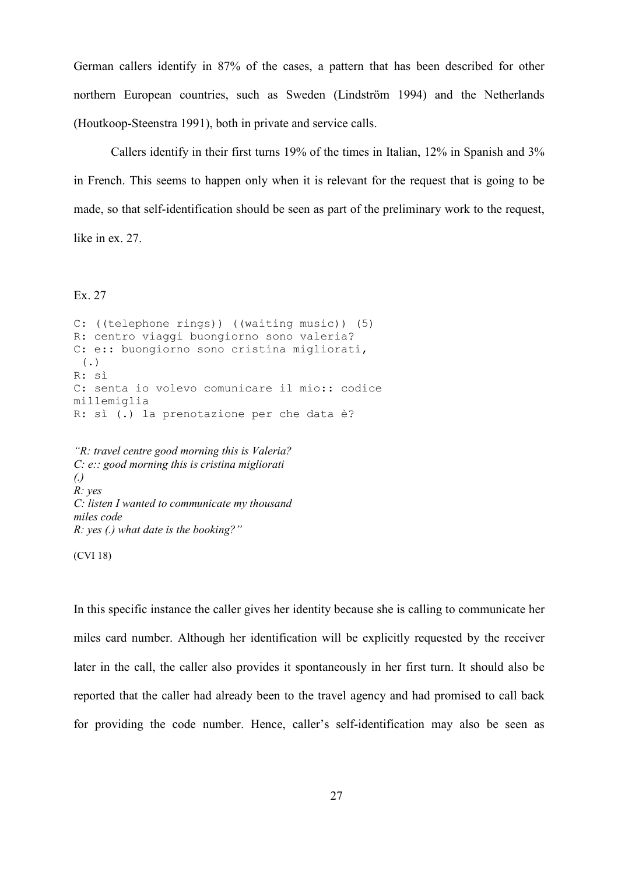German callers identify in 87% of the cases, a pattern that has been described for other northern European countries, such as Sweden (Lindström 1994) and the Netherlands (Houtkoop-Steenstra 1991), both in private and service calls.

Callers identify in their first turns 19% of the times in Italian, 12% in Spanish and 3% in French. This seems to happen only when it is relevant for the request that is going to be made, so that self-identification should be seen as part of the preliminary work to the request, like in ex. 27.

#### Ex. 27

C: ((telephone rings)) ((waiting music)) (5) R: centro viaggi buongiorno sono valeria? C: e:: buongiorno sono cristina migliorati,  $($ . $)$ R: sì C: senta io volevo comunicare il mio:: codice millemiglia R: sì (.) la prenotazione per che data è?

"R: travel centre good morning this is Valeria?  $C: e::$  good morning this is cristina migliorati (.) R: yes C: listen I wanted to communicate my thousand miles code  $R: yes (.)$  what date is the booking?"

(CVI 18)

In this specific instance the caller gives her identity because she is calling to communicate her miles card number. Although her identification will be explicitly requested by the receiver later in the call, the caller also provides it spontaneously in her first turn. It should also be reported that the caller had already been to the travel agency and had promised to call back for providing the code number. Hence, caller's self-identification may also be seen as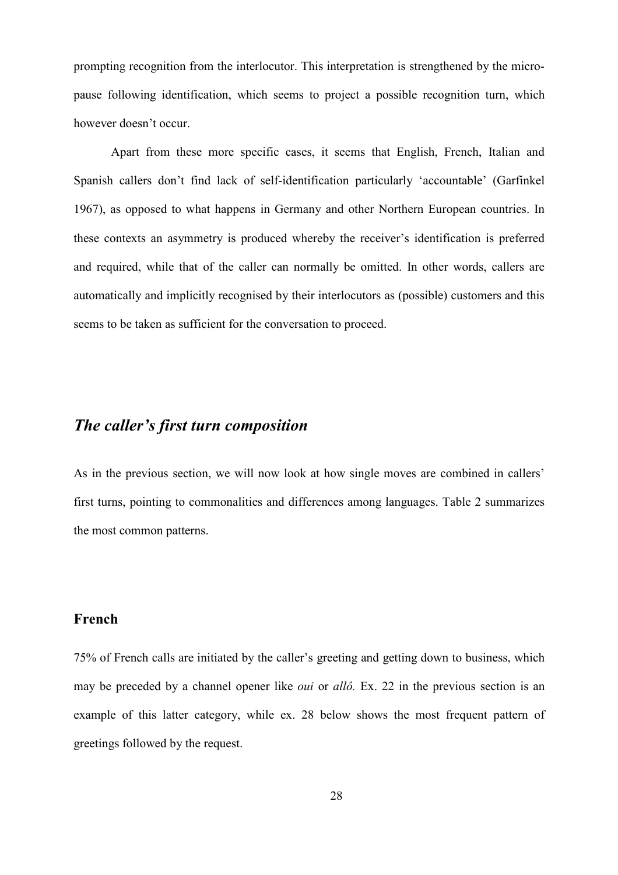prompting recognition from the interlocutor. This interpretation is strengthened by the micropause following identification, which seems to project a possible recognition turn, which however doesn't occur.

Apart from these more specific cases, it seems that English, French, Italian and Spanish callers don't find lack of self-identification particularly 'accountable' (Garfinkel 1967), as opposed to what happens in Germany and other Northern European countries. In these contexts an asymmetry is produced whereby the receiver's identification is preferred and required, while that of the caller can normally be omitted. In other words, callers are automatically and implicitly recognised by their interlocutors as (possible) customers and this seems to be taken as sufficient for the conversation to proceed.

# The caller's first turn composition

As in the previous section, we will now look at how single moves are combined in callers' first turns, pointing to commonalities and differences among languages. Table 2 summarizes the most common patterns.

#### French

75% of French calls are initiated by the caller's greeting and getting down to business, which may be preceded by a channel opener like *oui* or allô. Ex. 22 in the previous section is an example of this latter category, while ex. 28 below shows the most frequent pattern of greetings followed by the request.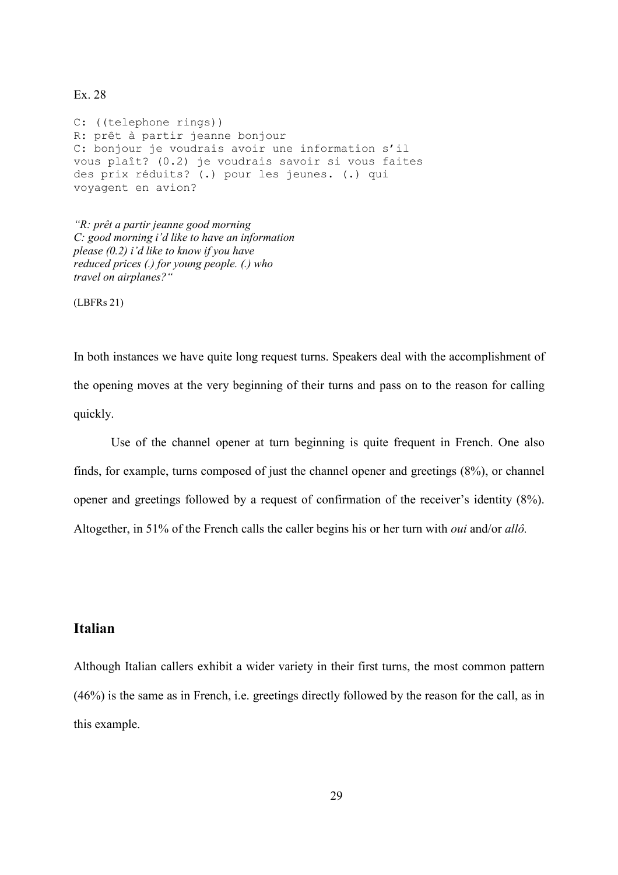Ex. 28

C: ((telephone rings)) R: prêt à partir jeanne bonjour C: bonjour je voudrais avoir une information s'il vous plaît? (0.2) je voudrais savoir si vous faites des prix réduits? (.) pour les jeunes. (.) qui voyagent en avion?

"R: prêt a partir jeanne good morning C: good morning i'd like to have an information please (0.2) i'd like to know if you have reduced prices (.) for young people. (.) who travel on airplanes?"

(LBFRs 21)

In both instances we have quite long request turns. Speakers deal with the accomplishment of the opening moves at the very beginning of their turns and pass on to the reason for calling quickly.

Use of the channel opener at turn beginning is quite frequent in French. One also finds, for example, turns composed of just the channel opener and greetings (8%), or channel opener and greetings followed by a request of confirmation of the receiver's identity (8%). Altogether, in 51% of the French calls the caller begins his or her turn with oui and/or allô.

### Italian

Although Italian callers exhibit a wider variety in their first turns, the most common pattern (46%) is the same as in French, i.e. greetings directly followed by the reason for the call, as in this example.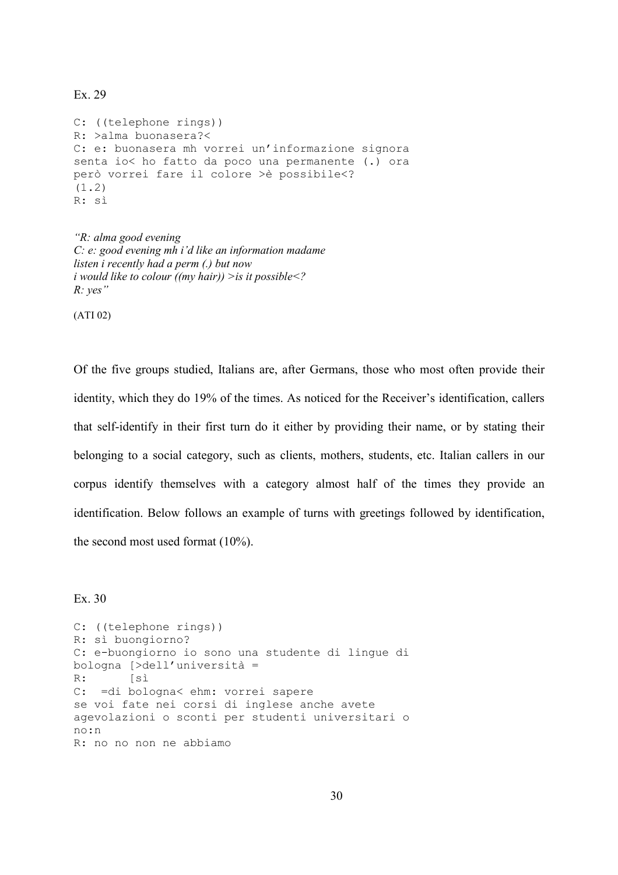Ex. 29

C: ((telephone rings)) R: >alma buonasera?< C: e: buonasera mh vorrei un'informazione signora senta io< ho fatto da poco una permanente (.) ora però vorrei fare il colore >è possibile<?  $(1.2)$ R: sì

"R: alma good evening C: e: good evening mh i'd like an information madame listen i recently had a perm (.) but now i would like to colour ((my hair))  $>$ is it possible $\leq$ ?  $R: yes$ "

(ATI 02)

Of the five groups studied, Italians are, after Germans, those who most often provide their identity, which they do 19% of the times. As noticed for the Receiver's identification, callers that self-identify in their first turn do it either by providing their name, or by stating their belonging to a social category, such as clients, mothers, students, etc. Italian callers in our corpus identify themselves with a category almost half of the times they provide an identification. Below follows an example of turns with greetings followed by identification, the second most used format (10%).

Ex. 30

C: ((telephone rings)) R: sì buongiorno? C: e-buongiorno io sono una studente di lingue di bologna [>dell'università = R: [sì C: =di bologna< ehm: vorrei sapere se voi fate nei corsi di inglese anche avete agevolazioni o sconti per studenti universitari o no:n R: no no non ne abbiamo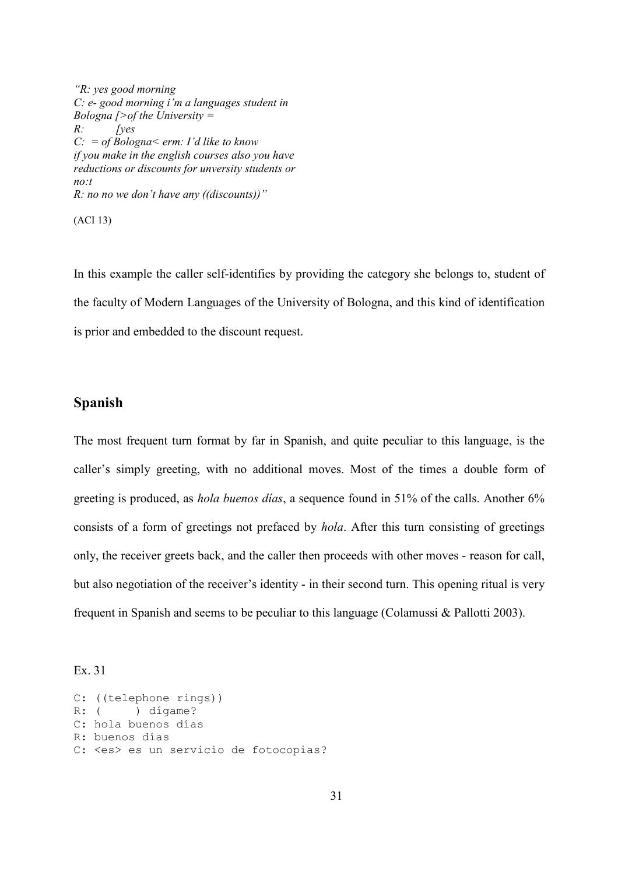"R: yes good morning C: e- good morning i'm a languages student in Bologna  $\triangleright$  of the University =  $R$ : [yes  $C: = of \, Bologna \leq \, \text{erm: I'd like to know}$ if you make in the english courses also you have reductions or discounts for unversity students or no:t  $R: no$  no we don't have any ((discounts))"

(ACI 13)

In this example the caller self-identifies by providing the category she belongs to, student of the faculty of Modern Languages of the University of Bologna, and this kind of identification is prior and embedded to the discount request.

#### Spanish

The most frequent turn format by far in Spanish, and quite peculiar to this language, is the caller's simply greeting, with no additional moves. Most of the times a double form of greeting is produced, as hola buenos días, a sequence found in 51% of the calls. Another 6% consists of a form of greetings not prefaced by hola. After this turn consisting of greetings only, the receiver greets back, and the caller then proceeds with other moves - reason for call, but also negotiation of the receiver's identity - in their second turn. This opening ritual is very frequent in Spanish and seems to be peculiar to this language (Colamussi & Pallotti 2003).

Ex. 31

```
C: ((telephone rings)) 
R: ( ) dígame?
C: hola buenos días 
R: buenos días 
C: <es> es un servicio de fotocopias?
```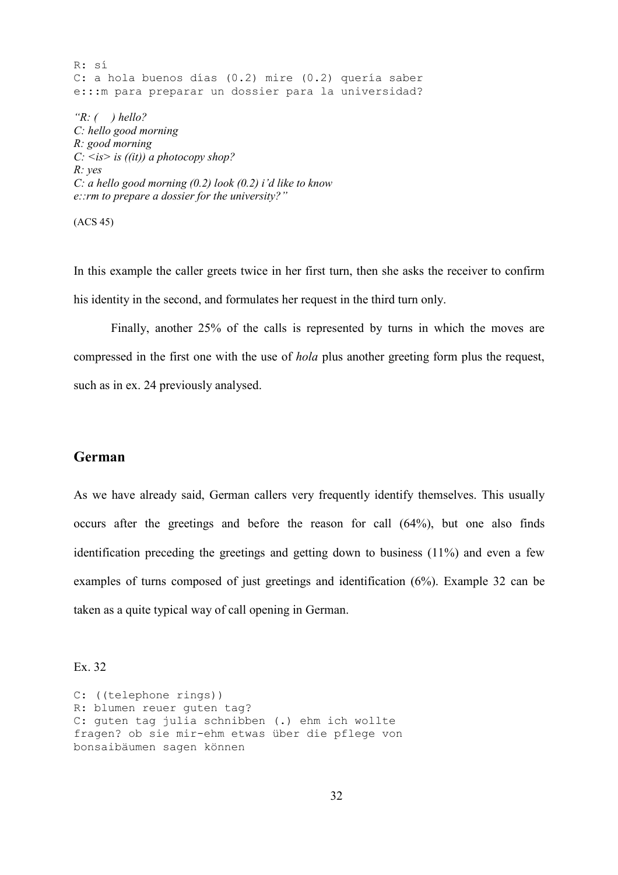R: sí C: a hola buenos días (0.2) mire (0.2) quería saber e:::m para preparar un dossier para la universidad? " $R:$  ( ) hello? C: hello good morning R: good morning  $C: \langle is \rangle$  is  $((it))$  a photocopy shop? R: yes C: a hello good morning  $(0.2)$  look  $(0.2)$  i'd like to know e::rm to prepare a dossier for the university?"

(ACS 45)

In this example the caller greets twice in her first turn, then she asks the receiver to confirm his identity in the second, and formulates her request in the third turn only.

Finally, another 25% of the calls is represented by turns in which the moves are compressed in the first one with the use of hola plus another greeting form plus the request, such as in ex. 24 previously analysed.

#### German

As we have already said, German callers very frequently identify themselves. This usually occurs after the greetings and before the reason for call (64%), but one also finds identification preceding the greetings and getting down to business (11%) and even a few examples of turns composed of just greetings and identification (6%). Example 32 can be taken as a quite typical way of call opening in German.

Ex. 32

C: ((telephone rings)) R: blumen reuer guten tag? C: guten tag julia schnibben (.) ehm ich wollte fragen? ob sie mir-ehm etwas über die pflege von bonsaibäumen sagen können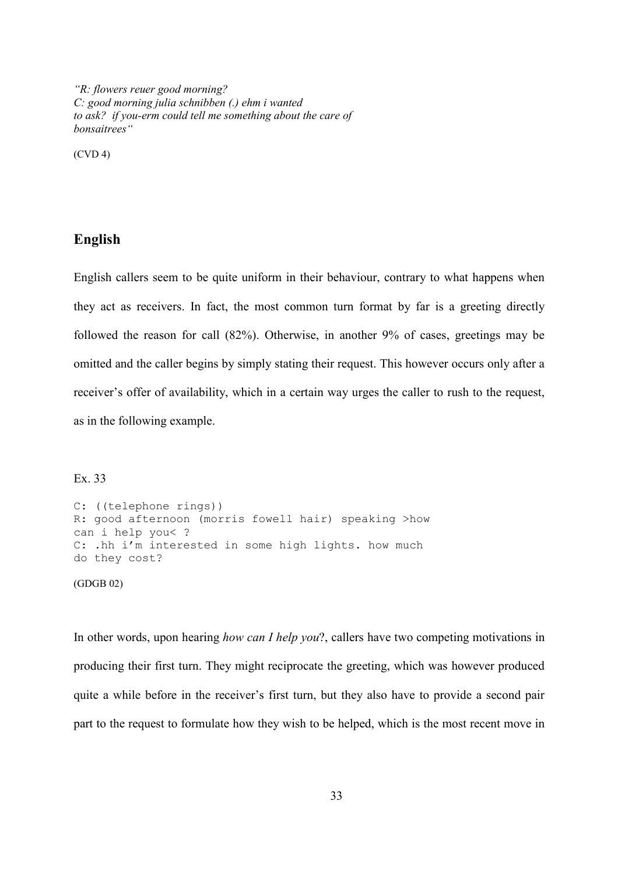"R: flowers reuer good morning? C: good morning julia schnibben (.) ehm i wanted to ask? if you-erm could tell me something about the care of bonsaitrees"

(CVD 4)

#### English

English callers seem to be quite uniform in their behaviour, contrary to what happens when they act as receivers. In fact, the most common turn format by far is a greeting directly followed the reason for call (82%). Otherwise, in another 9% of cases, greetings may be omitted and the caller begins by simply stating their request. This however occurs only after a receiver's offer of availability, which in a certain way urges the caller to rush to the request, as in the following example.

#### Ex. 33

```
C: ((telephone rings)) 
R: good afternoon (morris fowell hair) speaking >how 
can i help you< ? 
C: .hh i'm interested in some high lights. how much
do they cost? 
(GDGB 02)
```
In other words, upon hearing *how can I help you*?, callers have two competing motivations in producing their first turn. They might reciprocate the greeting, which was however produced quite a while before in the receiver's first turn, but they also have to provide a second pair part to the request to formulate how they wish to be helped, which is the most recent move in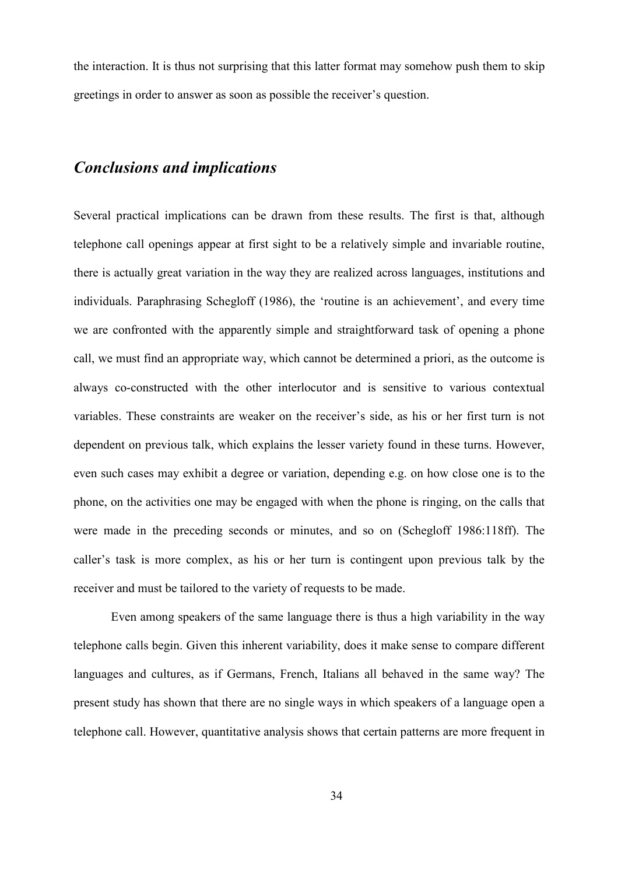the interaction. It is thus not surprising that this latter format may somehow push them to skip greetings in order to answer as soon as possible the receiver's question.

# Conclusions and implications

Several practical implications can be drawn from these results. The first is that, although telephone call openings appear at first sight to be a relatively simple and invariable routine, there is actually great variation in the way they are realized across languages, institutions and individuals. Paraphrasing Schegloff (1986), the 'routine is an achievement', and every time we are confronted with the apparently simple and straightforward task of opening a phone call, we must find an appropriate way, which cannot be determined a priori, as the outcome is always co-constructed with the other interlocutor and is sensitive to various contextual variables. These constraints are weaker on the receiver's side, as his or her first turn is not dependent on previous talk, which explains the lesser variety found in these turns. However, even such cases may exhibit a degree or variation, depending e.g. on how close one is to the phone, on the activities one may be engaged with when the phone is ringing, on the calls that were made in the preceding seconds or minutes, and so on (Schegloff 1986:118ff). The caller's task is more complex, as his or her turn is contingent upon previous talk by the receiver and must be tailored to the variety of requests to be made.

Even among speakers of the same language there is thus a high variability in the way telephone calls begin. Given this inherent variability, does it make sense to compare different languages and cultures, as if Germans, French, Italians all behaved in the same way? The present study has shown that there are no single ways in which speakers of a language open a telephone call. However, quantitative analysis shows that certain patterns are more frequent in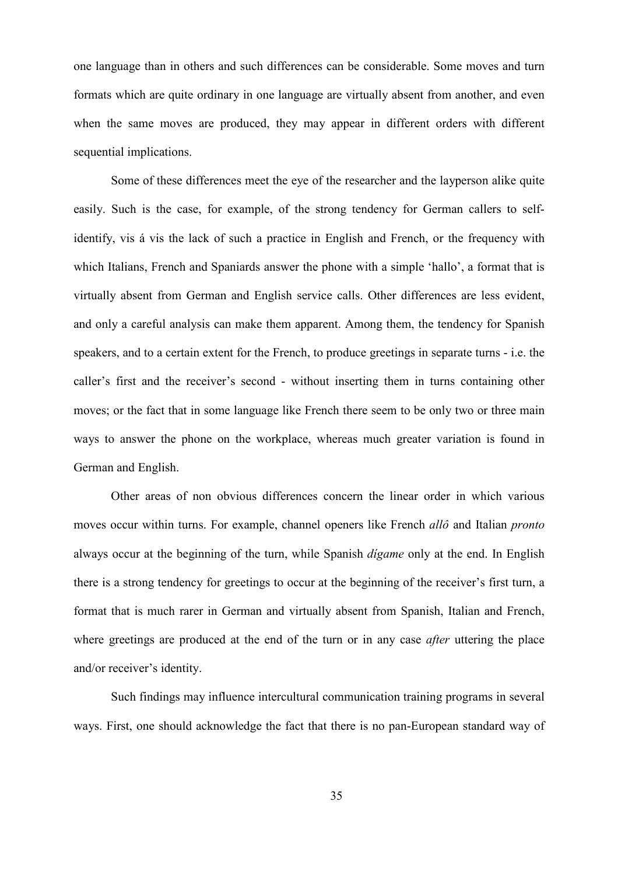one language than in others and such differences can be considerable. Some moves and turn formats which are quite ordinary in one language are virtually absent from another, and even when the same moves are produced, they may appear in different orders with different sequential implications.

Some of these differences meet the eye of the researcher and the layperson alike quite easily. Such is the case, for example, of the strong tendency for German callers to selfidentify, vis á vis the lack of such a practice in English and French, or the frequency with which Italians, French and Spaniards answer the phone with a simple 'hallo', a format that is virtually absent from German and English service calls. Other differences are less evident, and only a careful analysis can make them apparent. Among them, the tendency for Spanish speakers, and to a certain extent for the French, to produce greetings in separate turns - i.e. the caller's first and the receiver's second - without inserting them in turns containing other moves; or the fact that in some language like French there seem to be only two or three main ways to answer the phone on the workplace, whereas much greater variation is found in German and English.

Other areas of non obvious differences concern the linear order in which various moves occur within turns. For example, channel openers like French allô and Italian pronto always occur at the beginning of the turn, while Spanish dígame only at the end. In English there is a strong tendency for greetings to occur at the beginning of the receiver's first turn, a format that is much rarer in German and virtually absent from Spanish, Italian and French, where greetings are produced at the end of the turn or in any case *after* uttering the place and/or receiver's identity.

Such findings may influence intercultural communication training programs in several ways. First, one should acknowledge the fact that there is no pan-European standard way of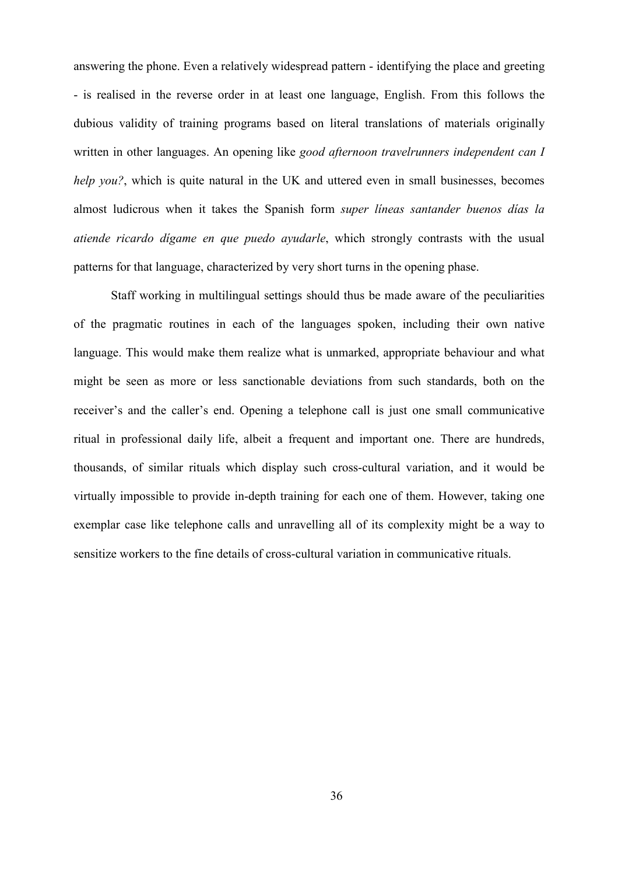answering the phone. Even a relatively widespread pattern - identifying the place and greeting - is realised in the reverse order in at least one language, English. From this follows the dubious validity of training programs based on literal translations of materials originally written in other languages. An opening like good afternoon travelrunners independent can I help you?, which is quite natural in the UK and uttered even in small businesses, becomes almost ludicrous when it takes the Spanish form super líneas santander buenos días la atiende ricardo dígame en que puedo ayudarle, which strongly contrasts with the usual patterns for that language, characterized by very short turns in the opening phase.

Staff working in multilingual settings should thus be made aware of the peculiarities of the pragmatic routines in each of the languages spoken, including their own native language. This would make them realize what is unmarked, appropriate behaviour and what might be seen as more or less sanctionable deviations from such standards, both on the receiver's and the caller's end. Opening a telephone call is just one small communicative ritual in professional daily life, albeit a frequent and important one. There are hundreds, thousands, of similar rituals which display such cross-cultural variation, and it would be virtually impossible to provide in-depth training for each one of them. However, taking one exemplar case like telephone calls and unravelling all of its complexity might be a way to sensitize workers to the fine details of cross-cultural variation in communicative rituals.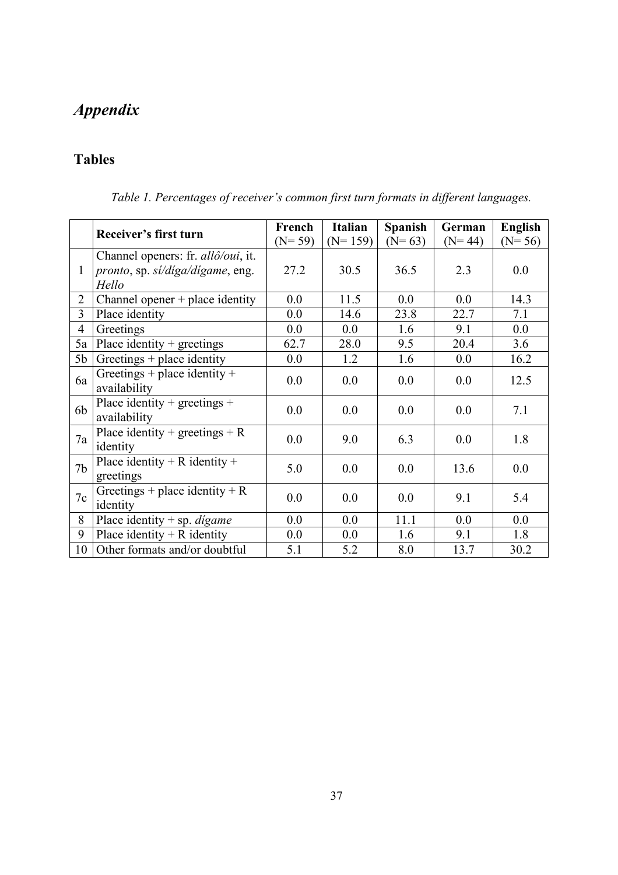# Appendix

# Tables

|                |                                                                                                 | French   | <b>Italian</b> | Spanish  | German   | English  |
|----------------|-------------------------------------------------------------------------------------------------|----------|----------------|----------|----------|----------|
|                | Receiver's first turn                                                                           | $(N=59)$ | $(N=159)$      | $(N=63)$ | $(N=44)$ | $(N=56)$ |
| $\mathbf{1}$   | Channel openers: fr. <i>allô/oui</i> , it.<br><i>pronto</i> , sp. si/diga/digame, eng.<br>Hello | 27.2     | 30.5           | 36.5     | 2.3      | 0.0      |
| $\overline{2}$ | Channel opener $+$ place identity                                                               | 0.0      | 11.5           | 0.0      | 0.0      | 14.3     |
| 3              | Place identity                                                                                  | 0.0      | 14.6           | 23.8     | 22.7     | 7.1      |
| $\overline{4}$ | Greetings                                                                                       | 0.0      | 0.0            | 1.6      | 9.1      | 0.0      |
| 5a             | Place identity $+$ greetings                                                                    | 62.7     | 28.0           | 9.5      | 20.4     | 3.6      |
| 5b             | Greetings + place identity                                                                      | 0.0      | 1.2            | 1.6      | 0.0      | 16.2     |
| 6a             | Greetings + place identity +<br>availability                                                    | 0.0      | 0.0            | 0.0      | 0.0      | 12.5     |
| 6b             | Place identity + greetings +<br>availability                                                    | 0.0      | 0.0            | 0.0      | 0.0      | 7.1      |
| 7a             | Place identity + greetings + R<br>identity                                                      | 0.0      | 9.0            | 6.3      | 0.0      | 1.8      |
| 7 <sub>b</sub> | Place identity + R identity +<br>greetings                                                      | 5.0      | 0.0            | 0.0      | 13.6     | 0.0      |
| 7c             | Greetings + place identity + R<br>identity                                                      | 0.0      | 0.0            | 0.0      | 9.1      | 5.4      |
| 8              | Place identity $+$ sp. <i>digame</i>                                                            | 0.0      | 0.0            | 11.1     | 0.0      | 0.0      |
| 9              | Place identity $+ R$ identity                                                                   | 0.0      | 0.0            | 1.6      | 9.1      | 1.8      |
| 10             | Other formats and/or doubtful                                                                   | 5.1      | 5.2            | 8.0      | 13.7     | 30.2     |

Table 1. Percentages of receiver's common first turn formats in different languages.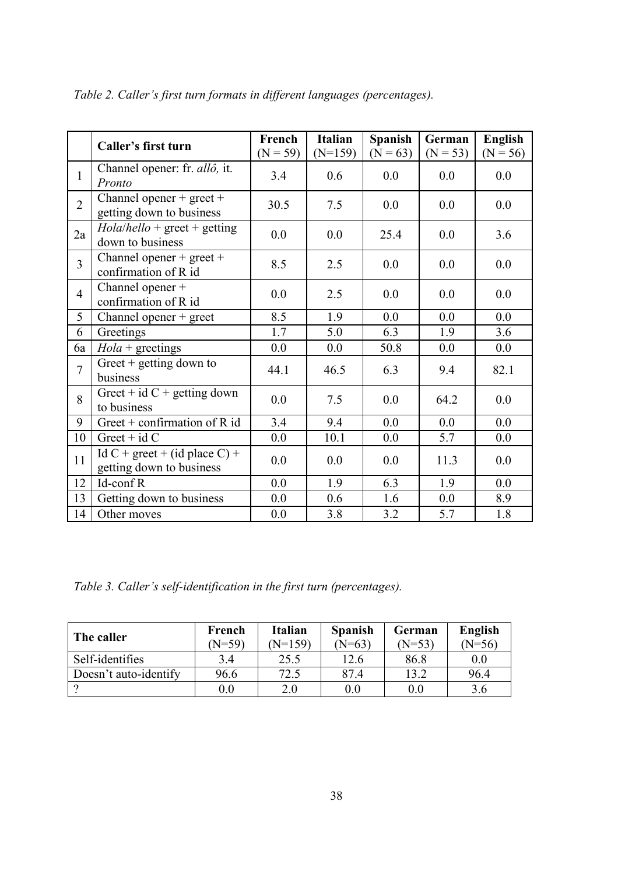|                | Caller's first turn                                           | French<br>$(N = 59)$ | <b>Italian</b><br>$(N=159)$ | <b>Spanish</b><br>$(N = 63)$ | German<br>$(N = 53)$ | <b>English</b><br>$(N = 56)$ |
|----------------|---------------------------------------------------------------|----------------------|-----------------------------|------------------------------|----------------------|------------------------------|
| $\mathbf{1}$   | Channel opener: fr. allô, it.<br>Pronto                       | 3.4                  | 0.6                         | 0.0                          | 0.0                  | 0.0                          |
| $\overline{2}$ | Channel opener + $\text{greet}$ +<br>getting down to business | 30.5                 | 7.5                         | 0.0                          | 0.0                  | 0.0                          |
| 2a             | $Hola/hello$ + greet + getting<br>down to business            | 0.0                  | 0.0                         | 25.4                         | 0.0                  | 3.6                          |
| $\overline{3}$ | Channel opener + $\text{greet}$ +<br>confirmation of R id     | 8.5                  | 2.5                         | 0.0                          | 0.0                  | 0.0                          |
| $\overline{4}$ | Channel opener +<br>confirmation of R id                      | 0.0                  | 2.5                         | 0.0                          | 0.0                  | 0.0                          |
| 5              | Channel opener $+$ greet                                      | 8.5                  | 1.9                         | 0.0                          | 0.0                  | 0.0                          |
| 6              | Greetings                                                     | 1.7                  | 5.0                         | 6.3                          | 1.9                  | 3.6                          |
| 6a             | $Hola + \text{greetings}$                                     | 0.0                  | 0.0                         | 50.8                         | 0.0                  | 0.0                          |
| $\overline{7}$ | Greet $+$ getting down to<br>business                         | 44.1                 | 46.5                        | 6.3                          | 9.4                  | 82.1                         |
| 8              | Greet + id $C$ + getting down<br>to business                  | 0.0                  | 7.5                         | 0.0                          | 64.2                 | 0.0                          |
| 9              | Greet + confirmation of $R$ id                                | 3.4                  | 9.4                         | 0.0                          | 0.0                  | 0.0                          |
| 10             | Greet + $id C$                                                | 0.0                  | 10.1                        | 0.0                          | 5.7                  | 0.0                          |
| 11             | Id C + greet + (id place C) +<br>getting down to business     | 0.0                  | 0.0                         | 0.0                          | 11.3                 | 0.0                          |
| 12             | Id-conf R                                                     | 0.0                  | 1.9                         | 6.3                          | 1.9                  | 0.0                          |
| 13             | Getting down to business                                      | 0.0                  | 0.6                         | 1.6                          | 0.0                  | 8.9                          |
| 14             | Other moves                                                   | 0.0                  | 3.8                         | 3.2                          | 5.7                  | 1.8                          |

Table 2. Caller's first turn formats in different languages (percentages).

Table 3. Caller's self-identification in the first turn (percentages).

| The caller            | French<br>(N=59) | <b>Italian</b><br>$N=159$ | <b>Spanish</b><br>$(N=63)$ | German<br>$N=53$ | English<br>$(N=56)$ |
|-----------------------|------------------|---------------------------|----------------------------|------------------|---------------------|
| Self-identifies       | 3.4              | 25.5                      | 12.6                       | 86.8             | 0.0                 |
| Doesn't auto-identify | 96.6             | 72.5                      | 87.4                       | 13.2             | 96.4                |
|                       | $0.0\,$          | 2.0                       | $0.0\,$                    | 0.0              | 3.6                 |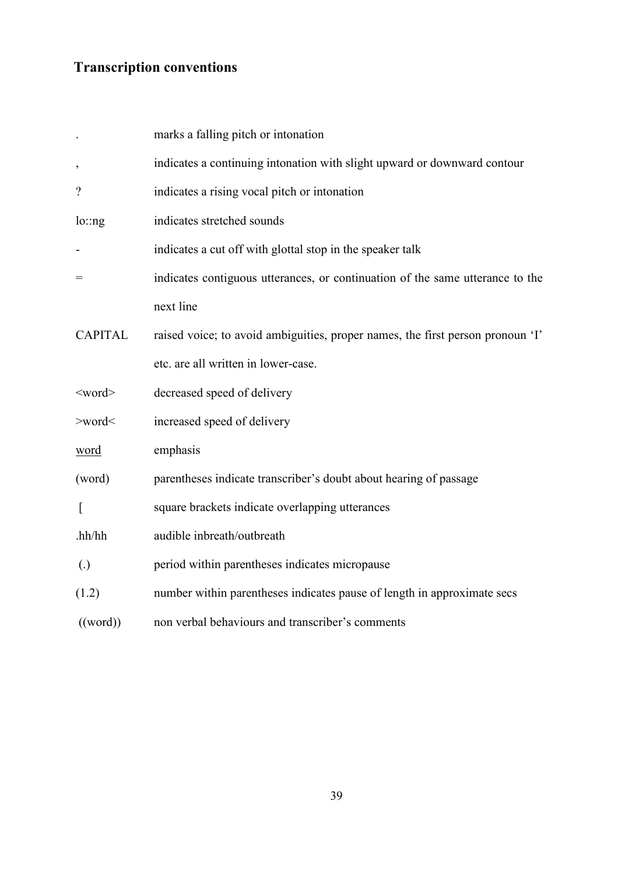# Transcription conventions

|                   | marks a falling pitch or intonation                                            |
|-------------------|--------------------------------------------------------------------------------|
| $\,$              | indicates a continuing intonation with slight upward or downward contour       |
| $\gamma$          | indicates a rising vocal pitch or intonation                                   |
| lo:ng             | indicates stretched sounds                                                     |
|                   | indicates a cut off with glottal stop in the speaker talk                      |
| $=$               | indicates contiguous utterances, or continuation of the same utterance to the  |
|                   | next line                                                                      |
| <b>CAPITAL</b>    | raised voice; to avoid ambiguities, proper names, the first person pronoun 'I' |
|                   | etc. are all written in lower-case.                                            |
| $<$ word $>$      | decreased speed of delivery                                                    |
| $>$ word $<$      | increased speed of delivery                                                    |
| word              | emphasis                                                                       |
| (word)            | parentheses indicate transcriber's doubt about hearing of passage              |
| $\left[ \right]$  | square brackets indicate overlapping utterances                                |
| hh/hh             | audible inbreath/outbreath                                                     |
| $\left( .\right)$ | period within parentheses indicates micropause                                 |
| (1.2)             | number within parentheses indicates pause of length in approximate secs        |
| ((word))          | non verbal behaviours and transcriber's comments                               |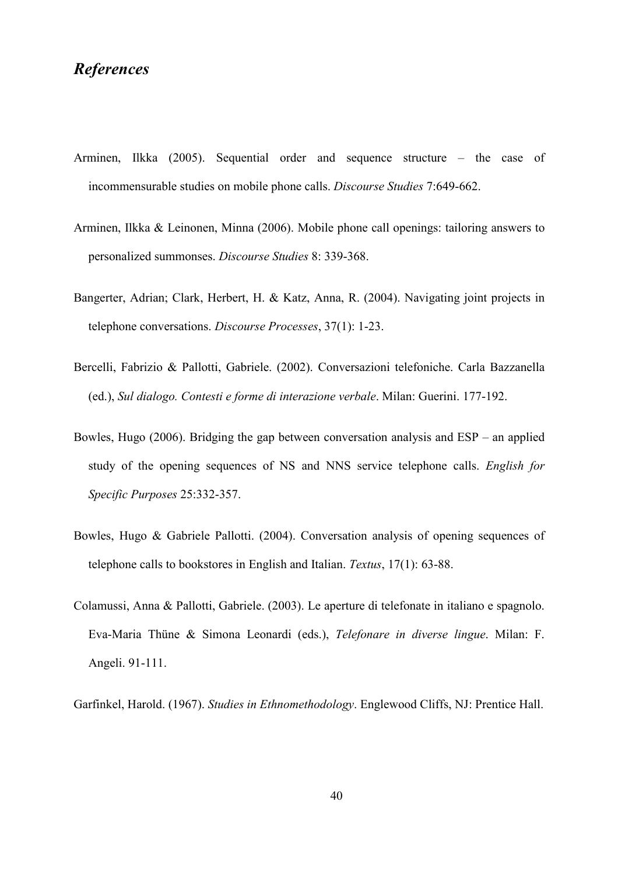# References

- Arminen, Ilkka (2005). Sequential order and sequence structure the case of incommensurable studies on mobile phone calls. Discourse Studies 7:649-662.
- Arminen, Ilkka & Leinonen, Minna (2006). Mobile phone call openings: tailoring answers to personalized summonses. Discourse Studies 8: 339-368.
- Bangerter, Adrian; Clark, Herbert, H. & Katz, Anna, R. (2004). Navigating joint projects in telephone conversations. Discourse Processes, 37(1): 1-23.
- Bercelli, Fabrizio & Pallotti, Gabriele. (2002). Conversazioni telefoniche. Carla Bazzanella (ed.), Sul dialogo. Contesti e forme di interazione verbale. Milan: Guerini. 177-192.
- Bowles, Hugo (2006). Bridging the gap between conversation analysis and ESP an applied study of the opening sequences of NS and NNS service telephone calls. English for Specific Purposes 25:332-357.
- Bowles, Hugo & Gabriele Pallotti. (2004). Conversation analysis of opening sequences of telephone calls to bookstores in English and Italian. Textus, 17(1): 63-88.
- Colamussi, Anna & Pallotti, Gabriele. (2003). Le aperture di telefonate in italiano e spagnolo. Eva-Maria Thüne & Simona Leonardi (eds.), Telefonare in diverse lingue. Milan: F. Angeli. 91-111.

Garfinkel, Harold. (1967). Studies in Ethnomethodology. Englewood Cliffs, NJ: Prentice Hall.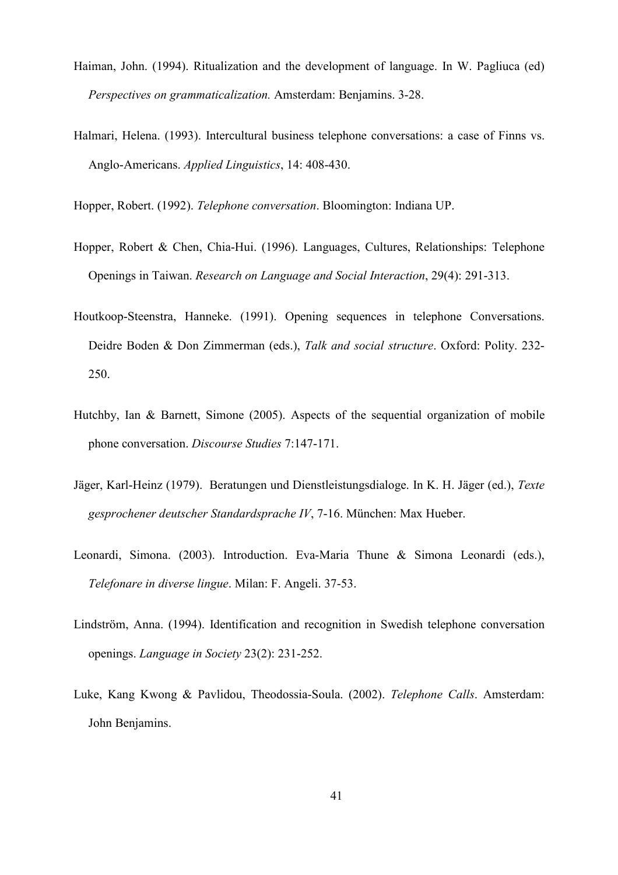- Haiman, John. (1994). Ritualization and the development of language. In W. Pagliuca (ed) Perspectives on grammaticalization. Amsterdam: Benjamins. 3-28.
- Halmari, Helena. (1993). Intercultural business telephone conversations: a case of Finns vs. Anglo-Americans. Applied Linguistics, 14: 408-430.

Hopper, Robert. (1992). Telephone conversation. Bloomington: Indiana UP.

- Hopper, Robert & Chen, Chia-Hui. (1996). Languages, Cultures, Relationships: Telephone Openings in Taiwan. Research on Language and Social Interaction, 29(4): 291-313.
- Houtkoop-Steenstra, Hanneke. (1991). Opening sequences in telephone Conversations. Deidre Boden & Don Zimmerman (eds.), Talk and social structure. Oxford: Polity. 232- 250.
- Hutchby, Ian & Barnett, Simone (2005). Aspects of the sequential organization of mobile phone conversation. Discourse Studies 7:147-171.
- Jäger, Karl-Heinz (1979). Beratungen und Dienstleistungsdialoge. In K. H. Jäger (ed.), Texte gesprochener deutscher Standardsprache IV, 7-16. München: Max Hueber.
- Leonardi, Simona. (2003). Introduction. Eva-Maria Thune & Simona Leonardi (eds.), Telefonare in diverse lingue. Milan: F. Angeli. 37-53.
- Lindström, Anna. (1994). Identification and recognition in Swedish telephone conversation openings. Language in Society 23(2): 231-252.
- Luke, Kang Kwong & Pavlidou, Theodossia-Soula. (2002). Telephone Calls. Amsterdam: John Benjamins.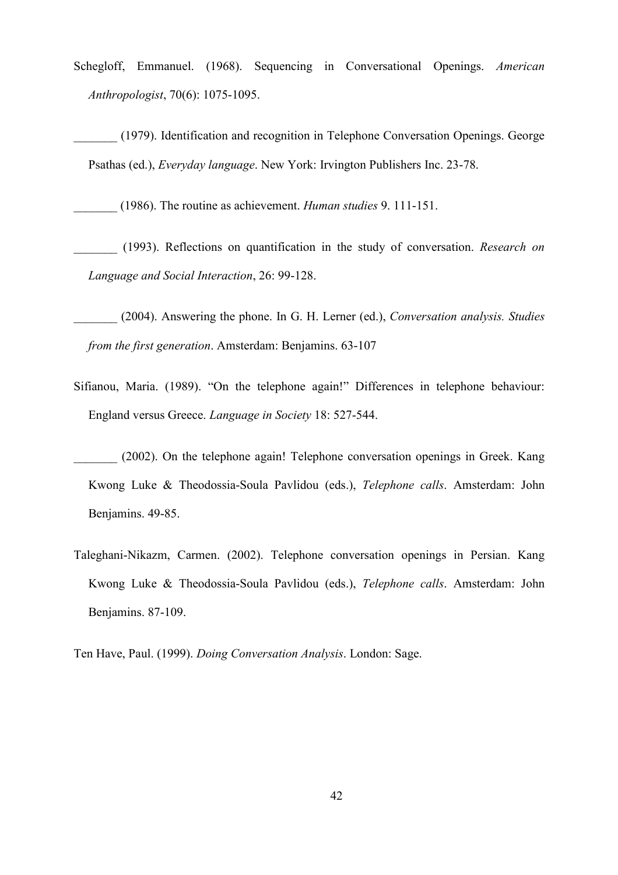- Schegloff, Emmanuel. (1968). Sequencing in Conversational Openings. American Anthropologist, 70(6): 1075-1095.
- \_\_\_\_\_\_\_ (1979). Identification and recognition in Telephone Conversation Openings. George Psathas (ed.), Everyday language. New York: Irvington Publishers Inc. 23-78.

\_\_\_\_\_\_\_ (1986). The routine as achievement. Human studies 9. 111-151.

(1993). Reflections on quantification in the study of conversation. Research on Language and Social Interaction, 26: 99-128.

- (2004). Answering the phone. In G. H. Lerner (ed.), Conversation analysis. Studies from the first generation. Amsterdam: Benjamins. 63-107
- Sifianou, Maria. (1989). "On the telephone again!" Differences in telephone behaviour: England versus Greece. Language in Society 18: 527-544.
- (2002). On the telephone again! Telephone conversation openings in Greek. Kang Kwong Luke & Theodossia-Soula Pavlidou (eds.), Telephone calls. Amsterdam: John Benjamins. 49-85.
- Taleghani-Nikazm, Carmen. (2002). Telephone conversation openings in Persian. Kang Kwong Luke & Theodossia-Soula Pavlidou (eds.), Telephone calls. Amsterdam: John Benjamins. 87-109.

Ten Have, Paul. (1999). Doing Conversation Analysis. London: Sage.